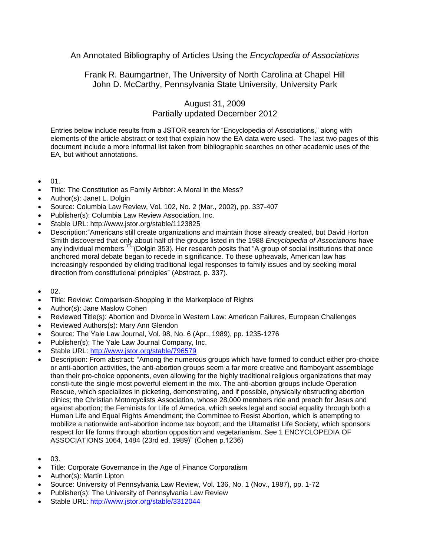## An Annotated Bibliography of Articles Using the *Encyclopedia of Associations*

## Frank R. Baumgartner, The University of North Carolina at Chapel Hill John D. McCarthy, Pennsylvania State University, University Park

## August 31, 2009 Partially updated December 2012

Entries below include results from a JSTOR search for "Encyclopedia of Associations," along with elements of the article abstract or text that explain how the EA data were used. The last two pages of this document include a more informal list taken from bibliographic searches on other academic uses of the EA, but without annotations.

- 01.
- Title: The Constitution as Family Arbiter: A Moral in the Mess?
- Author(s): Janet L. Dolgin
- Source: Columbia Law Review, Vol. 102, No. 2 (Mar., 2002), pp. 337-407
- Publisher(s): Columbia Law Review Association, Inc.
- Stable URL: http://www.jstor.org/stable/1123825
- Description:"Americans still create organizations and maintain those already created, but David Horton Smith discovered that only about half of the groups listed in the 1988 *Encyclopedia of Associations* have any individual members <sup>71</sup>"(Dolgin 353). Her research posits that "A group of social institutions that once anchored moral debate began to recede in significance. To these upheavals, American law has increasingly responded by eliding traditional legal responses to family issues and by seeking moral direction from constitutional principles" (Abstract, p. 337).
- 02.
- Title: Review: Comparison-Shopping in the Marketplace of Rights
- Author(s): Jane Maslow Cohen
- Reviewed Title(s): Abortion and Divorce in Western Law: American Failures, European Challenges
- Reviewed Authors(s): Mary Ann Glendon
- Source: The Yale Law Journal, Vol. 98, No. 6 (Apr., 1989), pp. 1235-1276
- Publisher(s): The Yale Law Journal Company, Inc.
- Stable URL:<http://www.jstor.org/stable/796579>
- Description: From abstract: "Among the numerous groups which have formed to conduct either pro-choice or anti-abortion activities, the anti-abortion groups seem a far more creative and flamboyant assemblage than their pro-choice opponents, even allowing for the highly traditional religious organizations that may consti-tute the single most powerful element in the mix. The anti-abortion groups include Operation Rescue, which specializes in picketing, demonstrating, and if possible, physically obstructing abortion clinics; the Christian Motorcyclists Association, whose 28,000 members ride and preach for Jesus and against abortion; the Feminists for Life of America, which seeks legal and social equality through both a Human Life and Equal Rights Amendment; the Committee to Resist Abortion, which is attempting to mobilize a nationwide anti-abortion income tax boycott; and the Ultamatist Life Society, which sponsors respect for life forms through abortion opposition and vegetarianism. See 1 ENCYCLOPEDIA OF ASSOCIATIONS 1064, 1484 (23rd ed. 1989)" (Cohen p.1236)
- 03.
- Title: Corporate Governance in the Age of Finance Corporatism
- Author(s): Martin Lipton
- Source: University of Pennsylvania Law Review, Vol. 136, No. 1 (Nov., 1987), pp. 1-72
- Publisher(s): The University of Pennsylvania Law Review
- Stable URL:<http://www.jstor.org/stable/3312044>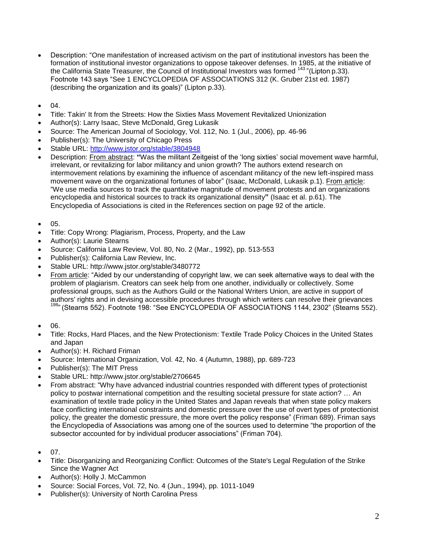- Description: "One manifestation of increased activism on the part of institutional investors has been the formation of institutional investor organizations to oppose takeover defenses. In 1985, at the initiative of the California State Treasurer, the Council of Institutional Investors was formed <sup>143</sup> "(Lipton p.33). Footnote 143 says "See 1 ENCYCLOPEDIA OF ASSOCIATIONS 312 (K. Gruber 21st ed. 1987) (describing the organization and its goals)" (Lipton p.33).
- 04.
- Title: Takin' It from the Streets: How the Sixties Mass Movement Revitalized Unionization
- Author(s): Larry Isaac, Steve McDonald, Greg Lukasik
- Source: The American Journal of Sociology, Vol. 112, No. 1 (Jul., 2006), pp. 46-96
- Publisher(s): The University of Chicago Press
- Stable URL:<http://www.jstor.org/stable/3804948>
- Description: From abstract: **"**Was the militant Zeitgeist of the 'long sixties' social movement wave harmful, irrelevant, or revitalizing for labor militancy and union growth? The authors extend research on intermovement relations by examining the influence of ascendant militancy of the new left-inspired mass movement wave on the organizational fortunes of labor" (Isaac, McDonald, Lukasik p.1). From article: "We use media sources to track the quantitative magnitude of movement protests and an organizations encyclopedia and historical sources to track its organizational density**"** (Isaac et al. p.61). The Encyclopedia of Associations is cited in the References section on page 92 of the article.
- 05.
- Title: Copy Wrong: Plagiarism, Process, Property, and the Law
- Author(s): Laurie Stearns
- Source: California Law Review, Vol. 80, No. 2 (Mar., 1992), pp. 513-553
- Publisher(s): California Law Review, Inc.
- Stable URL: http://www.jstor.org/stable/3480772
- From article: "Aided by our understanding of copyright law, we can seek alternative ways to deal with the problem of plagiarism. Creators can seek help from one another, individually or collectively. Some professional groups, such as the Authors Guild or the National Writers Union, are active in support of authors' rights and in devising accessible procedures through which writers can resolve their grievances 198" (Stearns 552). Footnote 198: "See ENCYCLOPEDIA OF ASSOCIATIONS 1144, 2302" (Stearns 552).
- 06.
- Title: Rocks, Hard Places, and the New Protectionism: Textile Trade Policy Choices in the United States and Japan
- Author(s): H. Richard Friman
- Source: International Organization, Vol. 42, No. 4 (Autumn, 1988), pp. 689-723
- Publisher(s): The MIT Press
- Stable URL: http://www.jstor.org/stable/2706645
- From abstract: "Why have advanced industrial countries responded with different types of protectionist policy to postwar international competition and the resulting societal pressure for state action? … An examination of textile trade policy in the United States and Japan reveals that when state policy makers face conflicting international constraints and domestic pressure over the use of overt types of protectionist policy, the greater the domestic pressure, the more overt the policy response" (Friman 689). Friman says the Encyclopedia of Associations was among one of the sources used to determine "the proportion of the subsector accounted for by individual producer associations" (Friman 704).
- 07.
- Title: Disorganizing and Reorganizing Conflict: Outcomes of the State's Legal Regulation of the Strike Since the Wagner Act
- Author(s): Holly J. McCammon
- Source: Social Forces, Vol. 72, No. 4 (Jun., 1994), pp. 1011-1049
- Publisher(s): University of North Carolina Press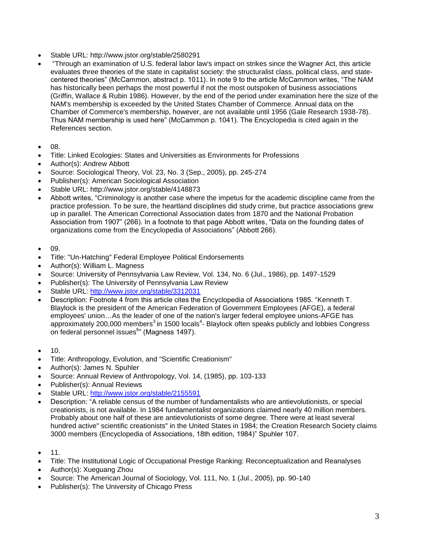- Stable URL: http://www.jstor.org/stable/2580291
- "Through an examination of U.S. federal labor law's impact on strikes since the Wagner Act, this article evaluates three theories of the state in capitalist society: the structuralist class, political class, and statecentered theories" (McCammon, abstract p. 1011). In note 9 to the article McCammon writes, "The NAM has historically been perhaps the most powerful if not the most outspoken of business associations (Griffin, Wallace & Rubin 1986). However, by the end of the period under examination here the size of the NAM's membership is exceeded by the United States Chamber of Commerce. Annual data on the Chamber of Commerce's membership, however, are not available until 1956 (Gale Research 1938-78). Thus NAM membership is used here" (McCammon p. 1041). The Encyclopedia is cited again in the References section.
- 08.
- Title: Linked Ecologies: States and Universities as Environments for Professions
- Author(s): Andrew Abbott
- Source: Sociological Theory, Vol. 23, No. 3 (Sep., 2005), pp. 245-274
- Publisher(s): American Sociological Association
- Stable URL: http://www.jstor.org/stable/4148873
- Abbott writes, "Criminology is another case where the impetus for the academic discipline came from the practice profession. To be sure, the heartland disciplines did study crime, but practice associations grew up in parallel. The American Correctional Association dates from 1870 and the National Probation Association from 1907" (266). In a footnote to that page Abbott writes, "Data on the founding dates of organizations come from the Encyclopedia of Associations" (Abbott 266).
- 09.
- Title: "Un-Hatching" Federal Employee Political Endorsements
- Author(s): William L. Magness
- Source: University of Pennsylvania Law Review, Vol. 134, No. 6 (Jul., 1986), pp. 1497-1529
- Publisher(s): The University of Pennsylvania Law Review
- Stable URL:<http://www.jstor.org/stable/3312031>
- Description: Footnote 4 from this article cites the Encyclopedia of Associations 1985. "Kenneth T. Blaylock is the president of the American Federation of Government Employees (AFGE), a federal employees' union…As the leader of one of the nation's larger federal employee unions-AFGE has approximately 200,000 members<sup>3</sup> in 1500 locals<sup>4</sup>- Blaylock often speaks publicly and lobbies Congress on federal personnel issues<sup>6</sup>" (Magness 1497).
- 10.
- Title: Anthropology, Evolution, and "Scientific Creationism"
- Author(s): James N. Spuhler
- Source: Annual Review of Anthropology, Vol. 14, (1985), pp. 103-133
- Publisher(s): Annual Reviews
- Stable URL:<http://www.jstor.org/stable/2155591>
- Description: "A reliable census of the number of fundamentalists who are antievolutionists, or special creationists, is not available. In 1984 fundamentalist organizations claimed nearly 40 million members. Probably about one half of these are antievolutionists of some degree. There were at least several hundred active" scientific creationists" in the United States in 1984; the Creation Research Society claims 3000 members (Encyclopedia of Associations, 18th edition, 1984)" Spuhler 107.
- 11.
- Title: The Institutional Logic of Occupational Prestige Ranking: Reconceptualization and Reanalyses
- Author(s): Xueguang Zhou
- Source: The American Journal of Sociology, Vol. 111, No. 1 (Jul., 2005), pp. 90-140
- Publisher(s): The University of Chicago Press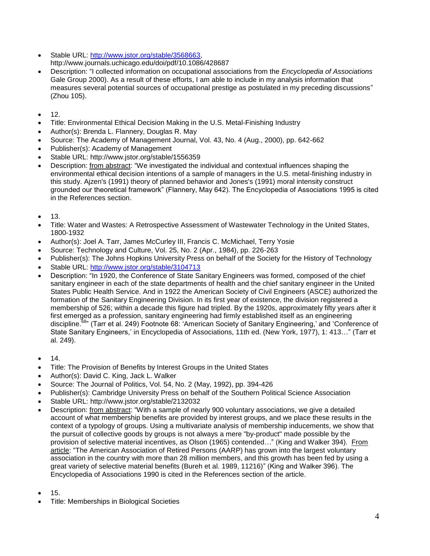- Stable URL: [http://www.jstor.org/stable/3568663,](http://www.jstor.org/stable/3568663) http://www.journals.uchicago.edu/doi/pdf/10.1086/428687
- Description: "I collected information on occupational associations from the *Encyclopedia of Associations* Gale Group 2000). As a result of these efforts, I am able to include in my analysis information that measures several potential sources of occupational prestige as postulated in my preceding discussions" (Zhou 105).
- 12.
- Title: Environmental Ethical Decision Making in the U.S. Metal-Finishing Industry
- Author(s): Brenda L. Flannery, Douglas R. May
- Source: The Academy of Management Journal, Vol. 43, No. 4 (Aug., 2000), pp. 642-662
- Publisher(s): Academy of Management
- Stable URL: http://www.jstor.org/stable/1556359
- Description: from abstract: "We investigated the individual and contextual influences shaping the environmental ethical decision intentions of a sample of managers in the U.S. metal-finishing industry in this study. Ajzen's (1991) theory of planned behavior and Jones's (1991) moral intensity construct grounded our theoretical framework" (Flannery, May 642). The Encyclopedia of Associations 1995 is cited in the References section.
- 13.
- Title: Water and Wastes: A Retrospective Assessment of Wastewater Technology in the United States, 1800-1932
- Author(s): Joel A. Tarr, James McCurley III, Francis C. McMichael, Terry Yosie
- Source: Technology and Culture, Vol. 25, No. 2 (Apr., 1984), pp. 226-263
- Publisher(s): The Johns Hopkins University Press on behalf of the Society for the History of Technology
- Stable URL:<http://www.jstor.org/stable/3104713>
- Description: "In 1920, the Conference of State Sanitary Engineers was formed, composed of the chief sanitary engineer in each of the state departments of health and the chief sanitary engineer in the United States Public Health Service. And in 1922 the American Society of Civil Engineers (ASCE) authorized the formation of the Sanitary Engineering Division. In its first year of existence, the division registered a membership of 526; within a decade this figure had tripled. By the 1920s, approximately fifty years after it first emerged as a profession, sanitary engineering had firmly established itself as an engineering discipline.<sup>68</sup>" (Tarr et al. 249) Footnote 68: 'American Society of Sanitary Engineering,' and 'Conference of State Sanitary Engineers,' in Encyclopedia of Associations, 11th ed. (New York, 1977), 1: 413…" (Tarr et al. 249).
- $14.$
- Title: The Provision of Benefits by Interest Groups in the United States
- Author(s): David C. King, Jack L. Walker
- Source: The Journal of Politics, Vol. 54, No. 2 (May, 1992), pp. 394-426
- Publisher(s): Cambridge University Press on behalf of the Southern Political Science Association
- Stable URL: http://www.jstor.org/stable/2132032
- Description: from abstract: "With a sample of nearly 900 voluntary associations, we give a detailed account of what membership benefits are provided by interest groups, and we place these results in the context of a typology of groups. Using a multivariate analysis of membership inducements, we show that the pursuit of collective goods by groups is not always a mere "by-product" made possible by the provision of selective material incentives, as Olson (1965) contended…" (King and Walker 394). From article: "The American Association of Retired Persons (AARP) has grown into the largest voluntary association in the country with more than 28 million members, and this growth has been fed by using a great variety of selective material benefits (Bureh et al. 1989, 11216)" (King and Walker 396). The Encyclopedia of Associations 1990 is cited in the References section of the article.
- 15.
- Title: Memberships in Biological Societies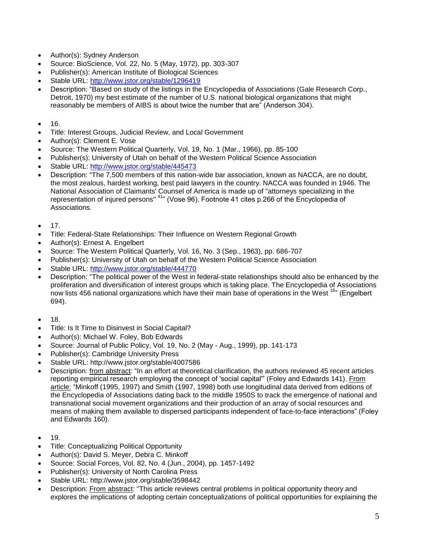- Author(s): Sydney Anderson
- Source: BioScience, Vol. 22, No. 5 (May, 1972), pp. 303-307
- Publisher(s): American Institute of Biological Sciences
- Stable URL:<http://www.jstor.org/stable/1296419>
- Description: "Based on study of the listings in the Encyclopedia of Associations (Gale Research Corp., Detroit, 1970) my best estimate of the number of U.S. national biological organizations that might reasonably be members of AIBS is about twice the number that are" (Anderson 304).
- $16.$
- Title: Interest Groups, Judicial Review, and Local Government
- Author(s): Clement E. Vose
- Source: The Western Political Quarterly, Vol. 19, No. 1 (Mar., 1966), pp. 85-100
- Publisher(s): University of Utah on behalf of the Western Political Science Association
- Stable URL:<http://www.jstor.org/stable/445473>
- Description: "The 7,500 members of this nation-wide bar association, known as NACCA, are no doubt, the most zealous, hardest working, best paid lawyers in the country. NACCA was founded in 1946. The National Association of Claimants' Counsel of America is made up of "attorneys specializing in the representation of injured persons" <sup>41</sup>" (Vose 96). Footnote 41 cites p.266 of the Encyclopedia of Associations.
- $17.$
- Title: Federal-State Relationships: Their Influence on Western Regional Growth
- Author(s): Ernest A. Engelbert
- Source: The Western Political Quarterly, Vol. 16, No. 3 (Sep., 1963), pp. 686-707
- Publisher(s): University of Utah on behalf of the Western Political Science Association
- Stable URL:<http://www.jstor.org/stable/444770>
- Description: "The political power of the West in federal-state relationships should also be enhanced by the proliferation and diversification of interest groups which is taking place. The Encyclopedia of Associations now lists 456 national organizations which have their main base of operations in the West <sup>16</sup>" (Engelbert 694).
- $18.$
- Title: Is It Time to Disinvest in Social Capital?
- Author(s): Michael W. Foley, Bob Edwards
- Source: Journal of Public Policy, Vol. 19, No. 2 (May Aug., 1999), pp. 141-173
- Publisher(s): Cambridge University Press
- Stable URL: http://www.jstor.org/stable/4007586
- Description: from abstract: "In an effort at theoretical clarification, the authors reviewed 45 recent articles reporting empirical research employing the concept of 'social capital'" (Foley and Edwards 141). From article: "Minkoff (1995, 1997) and Smith (1997, 1998) both use longitudinal data derived from editions of the Encyclopedia of Associations dating back to the middle 1950S to track the emergence of national and transnational social movement organizations and their production of an array of social resources and means of making them available to dispersed participants independent of face-to-face interactions" (Foley and Edwards 160).
- 19.
- Title: Conceptualizing Political Opportunity
- Author(s): David S. Meyer, Debra C. Minkoff
- Source: Social Forces, Vol. 82, No. 4 (Jun., 2004), pp. 1457-1492
- Publisher(s): University of North Carolina Press
- Stable URL: http://www.jstor.org/stable/3598442
- Description: From abstract: "This article reviews central problems in political opportunity theory and explores the implications of adopting certain conceptualizations of political opportunities for explaining the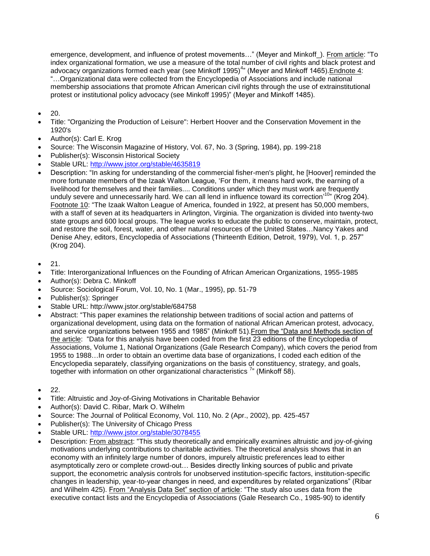emergence, development, and influence of protest movements..." (Meyer and Minkoff\_). From article: "To index organizational formation, we use a measure of the total number of civil rights and black protest and advocacy organizations formed each year (see Minkoff 1995)<sup>4</sup>" (Meyer and Minkoff 1465). Endnote 4: "…Organizational data were collected from the Encyclopedia of Associations and include national membership associations that promote African American civil rights through the use of extrainstitutional protest or institutional policy advocacy (see Minkoff 1995)" (Meyer and Minkoff 1485).

- 20.
- Title: "Organizing the Production of Leisure": Herbert Hoover and the Conservation Movement in the 1920's
- Author(s): Carl E. Krog
- Source: The Wisconsin Magazine of History, Vol. 67, No. 3 (Spring, 1984), pp. 199-218
- Publisher(s): Wisconsin Historical Society
- Stable URL:<http://www.jstor.org/stable/4635819>
- Description: "In asking for understanding of the commercial fisher-men's plight, he [Hoover] reminded the more fortunate members of the Izaak Walton League, 'For them, it means hard work, the earning of a livelihood for themselves and their families.... Conditions under which they must work are frequently unduly severe and unnecessarily hard. We can all lend in influence toward its correction<sup>10</sup>" (Krog 204). Footnote 10: "The Izaak Walton League of America, founded in 1922, at present has 50,000 members, with a staff of seven at its headquarters in Arlington, Virginia. The organization is divided into twenty-two state groups and 600 local groups. The league works to educate the public to conserve, maintain, protect, and restore the soil, forest, water, and other natural resources of the United States…Nancy Yakes and Denise Ahey, editors, Encyclopedia of Associations (Thirteenth Edition, Detroit, 1979), Vol. 1, p. 257" (Krog 204).
- $\bullet$  21.
- Title: Interorganizational Influences on the Founding of African American Organizations, 1955-1985
- Author(s): Debra C. Minkoff
- Source: Sociological Forum, Vol. 10, No. 1 (Mar., 1995), pp. 51-79
- Publisher(s): Springer
- Stable URL: http://www.jstor.org/stable/684758
- Abstract: "This paper examines the relationship between traditions of social action and patterns of organizational development, using data on the formation of national African American protest, advocacy, and service organizations between 1955 and 1985" (Minkoff 51).From the "Data and Methods section of the article: "Data for this analysis have been coded from the first 23 editions of the Encyclopedia of Associations, Volume 1, National Organizations (Gale Research Company), which covers the period from 1955 to 1988…In order to obtain an overtime data base of organizations, I coded each edition of the Encyclopedia separately, classifying organizations on the basis of constituency, strategy, and goals, together with information on other organizational characteristics  $7<sup>n</sup>$  (Minkoff 58).
- $22.$
- Title: Altruistic and Joy-of-Giving Motivations in Charitable Behavior
- Author(s): David C. Ribar, Mark O. Wilhelm
- Source: The Journal of Political Economy, Vol. 110, No. 2 (Apr., 2002), pp. 425-457
- Publisher(s): The University of Chicago Press
- Stable URL:<http://www.jstor.org/stable/3078455>
- Description: From abstract: "This study theoretically and empirically examines altruistic and joy-of-giving motivations underlying contributions to charitable activities. The theoretical analysis shows that in an economy with an infinitely large number of donors, impurely altruistic preferences lead to either asymptotically zero or complete crowd-out… Besides directly linking sources of public and private support, the econometric analysis controls for unobserved institution-specific factors, institution-specific changes in leadership, year-to-year changes in need, and expenditures by related organizations" (Ribar and Wilhelm 425). From "Analysis Data Set" section of article: "The study also uses data from the executive contact lists and the Encyclopedia of Associations (Gale Research Co., 1985-90) to identify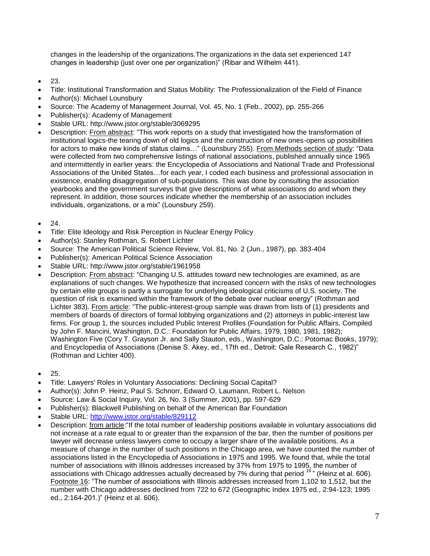changes in the leadership of the organizations.The organizations in the data set experienced 147 changes in leadership (just over one per organization)" (Ribar and Wilhelm 441).

- 23.
- Title: Institutional Transformation and Status Mobility: The Professionalization of the Field of Finance
- Author(s): Michael Lounsbury
- Source: The Academy of Management Journal, Vol. 45, No. 1 (Feb., 2002), pp. 255-266
- Publisher(s): Academy of Management
- Stable URL: http://www.jstor.org/stable/3069295
- Description: From abstract: "This work reports on a study that investigated how the transformation of institutional logics-the tearing down of old logics and the construction of new ones-opens up possibilities for actors to make new kinds of status claims..." (Lounsbury 255). From Methods section of study: "Data were collected from two comprehensive listings of national associations, published annually since 1965 and intermittently in earlier years: the Encyclopedia of Associations and National Trade and Professional Associations of the United States…for each year, I coded each business and professional association in existence, enabling disaggregation of sub-populations. This was done by consulting the association yearbooks and the government surveys that give descriptions of what associations do and whom they represent. In addition, those sources indicate whether the membership of an association includes individuals, organizations, or a mix" (Lounsbury 259).
- 24.
- Title: Elite Ideology and Risk Perception in Nuclear Energy Policy
- Author(s): Stanley Rothman, S. Robert Lichter
- Source: The American Political Science Review, Vol. 81, No. 2 (Jun., 1987), pp. 383-404
- Publisher(s): American Political Science Association
- Stable URL: http://www.jstor.org/stable/1961958
- Description: From abstract: "Changing U.S. attitudes toward new technologies are examined, as are explanations of such changes. We hypothesize that increased concern with the risks of new technologies by certain elite groups is partly a surrogate for underlying ideological criticisms of U.S. society. The question of risk is examined within the framework of the debate over nuclear energy" (Rothman and Lichter 383). From article: "The public-interest-group sample was drawn from lists of (1) presidents and members of boards of directors of formal lobbying organizations and (2) attorneys in public-interest law firms. For group 1, the sources included Public Interest Profiles (Foundation for Public Affairs, Compiled by John F. Mancini, Washington, D.C.: Foundation for Public Affairs, 1979, 1980, 1981, 1982); Washington Five (Cory T. Grayson Jr. and Sally Stauton, eds., Washington, D.C.: Potomac Books, 1979); and Encyclopedia of Associations (Denise S. Akey, ed., 17th ed., Detroit: Gale Research C., 1982)" (Rothman and Lichter 400).
- $25.$
- Title: Lawyers' Roles in Voluntary Associations: Declining Social Capital?
- Author(s): John P. Heinz, Paul S. Schnorr, Edward O. Laumann, Robert L. Nelson
- Source: Law & Social Inquiry, Vol. 26, No. 3 (Summer, 2001), pp. 597-629
- Publisher(s): Blackwell Publishing on behalf of the American Bar Foundation
- Stable URL:<http://www.jstor.org/stable/829112>
- Description: from article: "If the total number of leadership positions available in voluntary associations did not increase at a rate equal to or greater than the expansion of the bar, then the number of positions per lawyer will decrease unless lawyers come to occupy a larger share of the available positions. As a measure of change in the number of such positions in the Chicago area, we have counted the number of associations listed in the Encyclopedia of Associations in 1975 and 1995. We found that, while the total number of associations with Illinois addresses increased by 37% from 1975 to 1995, the number of associations with Chicago addresses actually decreased by 7% during that period <sup>16</sup>" (Heinz et al. 606). Footnote 16: "The number of associations with Illinois addresses increased from 1,102 to 1,512, but the number with Chicago addresses declined from 722 to 672 (Geographic Index 1975 ed., 2:94-123; 1995 ed., 2:164-201.)" (Heinz et al. 606).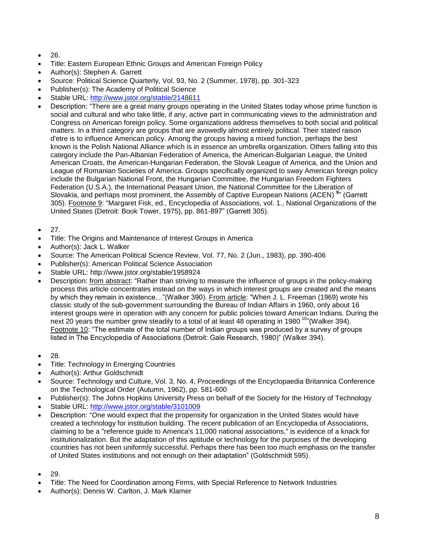- 26.
- Title: Eastern European Ethnic Groups and American Foreign Policy
- Author(s): Stephen A. Garrett
- Source: Political Science Quarterly, Vol. 93, No. 2 (Summer, 1978), pp. 301-323
- Publisher(s): The Academy of Political Science
- Stable URL:<http://www.jstor.org/stable/2148611>
- Description: "There are a great many groups operating in the United States today whose prime function is social and cultural and who take little, if any, active part in communicating views to the administration and Congress on American foreign policy. Some organizations address themselves to both social and political matters. In a third category are groups that are avowedly almost entirely political. Their stated raison d'etre is to influence American policy. Among the groups having a mixed function, perhaps the best known is the Polish National Alliance which is in essence an umbrella organization. Others falling into this category include the Pan-Albanian Federation of America, the American-Bulgarian League, the United American Croats, the American-Hungarian Federation, the Slovak League of America, and the Union and League of Romanian Societies of America. Groups specifically organized to sway American foreign policy include the Bulgarian National Front, the Hungarian Committee, the Hungarian Freedom Fighters Federation (U.S.A.), the International Peasant Union, the National Committee for the Liberation of Slovakia, and perhaps most prominent, the Assembly of Captive European Nations (ACEN)<sup>9</sup>" (Garrett 305). Footnote 9: "Margaret Fisk, ed., Encyclopedia of Associations, vol. 1., National Organizations of the United States (Detroit: Book Tower, 1975), pp. 861-897" (Garrett 305).
- 27.
- Title: The Origins and Maintenance of Interest Groups in America
- Author(s): Jack L. Walker
- Source: The American Political Science Review, Vol. 77, No. 2 (Jun., 1983), pp. 390-406
- Publisher(s): American Political Science Association
- Stable URL: http://www.jstor.org/stable/1958924
- Description: from abstract: "Rather than striving to measure the influence of groups in the policy-making process this article concentrates instead on the ways in which interest groups are created and the means by which they remain in existence..."(Walker 390). From article: "When J. L. Freeman (1969) wrote his classic study of the sub-government surrounding the Bureau of Indian Affairs in 1960, only about 16 interest groups were in operation with any concern for public policies toward American Indians. During the next 20 years the number grew steadily to a total of at least 48 operating in 1980<sup>10</sup>" (Walker 394). Footnote 10: "The estimate of the total number of Indian groups was produced by a survey of groups listed in The Encyclopedia of Associations (Detroit: Gale Research, 1980)" (Walker 394).
- 28.
- Title: Technology in Emerging Countries
- Author(s): Arthur Goldschmidt
- Source: Technology and Culture, Vol. 3, No. 4, Proceedings of the Encyclopaedia Britannica Conference on the Technological Order (Autumn, 1962), pp. 581-600
- Publisher(s): The Johns Hopkins University Press on behalf of the Society for the History of Technology
- Stable URL:<http://www.jstor.org/stable/3101009>
- Description: "One would expect that the propensity for organization in the United States would have created a technology for institution building. The recent publication of an Encyclopedia of Associations, claiming to be a "reference guide to America's 11,000 national associations," is evidence of a knack for institutionalization. But the adaptation of this aptitude or technology for the purposes of the developing countries has not been uniformly successful. Perhaps there has been too much emphasis on the transfer of United States institutions and not enough on their adaptation" (Goldschmidt 595).
- 29.
- Title: The Need for Coordination among Firms, with Special Reference to Network Industries
- Author(s): Dennis W. Carlton, J. Mark Klamer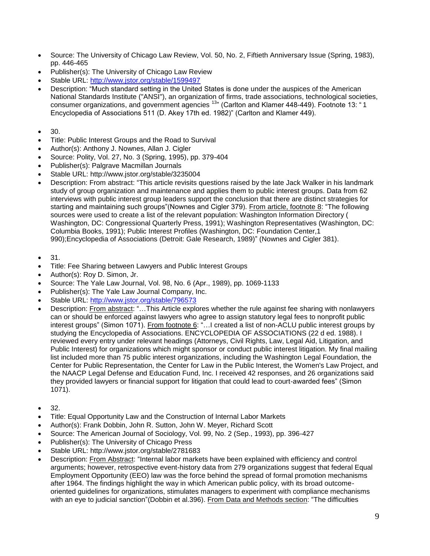- Source: The University of Chicago Law Review, Vol. 50, No. 2, Fiftieth Anniversary Issue (Spring, 1983), pp. 446-465
- Publisher(s): The University of Chicago Law Review
- Stable URL:<http://www.jstor.org/stable/1599497>
- Description: "Much standard setting in the United States is done under the auspices of the American National Standards Institute ("ANSI"), an organization of firms, trade associations, technological societies, consumer organizations, and government agencies <sup>13</sup>" (Carlton and Klamer 448-449). Footnote 13: " 1 Encyclopedia of Associations 511 (D. Akey 17th ed. 1982)" (Carlton and Klamer 449).
- 30.
- Title: Public Interest Groups and the Road to Survival
- Author(s): Anthony J. Nownes, Allan J. Cigler
- Source: Polity, Vol. 27, No. 3 (Spring, 1995), pp. 379-404
- Publisher(s): Palgrave Macmillan Journals
- Stable URL: http://www.jstor.org/stable/3235004
- Description: From abstract: "This article revisits questions raised by the late Jack Walker in his landmark study of group organization and maintenance and applies them to public interest groups. Data from 62 interviews with public interest group leaders support the conclusion that there are distinct strategies for starting and maintaining such groups"(Nownes and Cigler 379). From article, footnote 8: "The following sources were used to create a list of the relevant population: Washington Information Directory ( Washington, DC: Congressional Quarterly Press, 1991); Washington Representatives (Washington, DC: Columbia Books, 1991); Public Interest Profiles (Washington, DC: Foundation Center,1 990);Encyclopedia of Associations (Detroit: Gale Research, 1989)" (Nownes and Cigler 381).
- 31.
- Title: Fee Sharing between Lawyers and Public Interest Groups
- Author(s): Roy D. Simon, Jr.
- Source: The Yale Law Journal, Vol. 98, No. 6 (Apr., 1989), pp. 1069-1133
- Publisher(s): The Yale Law Journal Company, Inc.
- Stable URL:<http://www.jstor.org/stable/796573>
- Description: From abstract: "...This Article explores whether the rule against fee sharing with nonlawyers can or should be enforced against lawyers who agree to assign statutory legal fees to nonprofit public interest groups" (Simon 1071). From footnote 6: "…I created a list of non-ACLU public interest groups by studying the Encyclopedia of Associations. ENCYCLOPEDIA OF ASSOCIATIONS (22 d ed. 1988). I reviewed every entry under relevant headings (Attorneys, Civil Rights, Law, Legal Aid, Litigation, and Public Interest) for organizations which might sponsor or conduct public interest litigation. My final mailing list included more than 75 public interest organizations, including the Washington Legal Foundation, the Center for Public Representation, the Center for Law in the Public Interest, the Women's Law Project, and the NAACP Legal Defense and Education Fund, Inc. I received 42 responses, and 26 organizations said they provided lawyers or financial support for litigation that could lead to court-awarded fees" (Simon 1071).
- 32.
- Title: Equal Opportunity Law and the Construction of Internal Labor Markets
- Author(s): Frank Dobbin, John R. Sutton, John W. Meyer, Richard Scott
- Source: The American Journal of Sociology, Vol. 99, No. 2 (Sep., 1993), pp. 396-427
- Publisher(s): The University of Chicago Press
- Stable URL: http://www.jstor.org/stable/2781683
- Description: From Abstract: "Internal labor markets have been explained with efficiency and control arguments; however, retrospective event-history data from 279 organizations suggest that federal Equal Employment Opportunity (EEO) law was the force behind the spread of formal promotion mechanisms after 1964. The findings highlight the way in which American public policy, with its broad outcomeoriented guidelines for organizations, stimulates managers to experiment with compliance mechanisms with an eye to judicial sanction"(Dobbin et al.396). From Data and Methods section: "The difficulties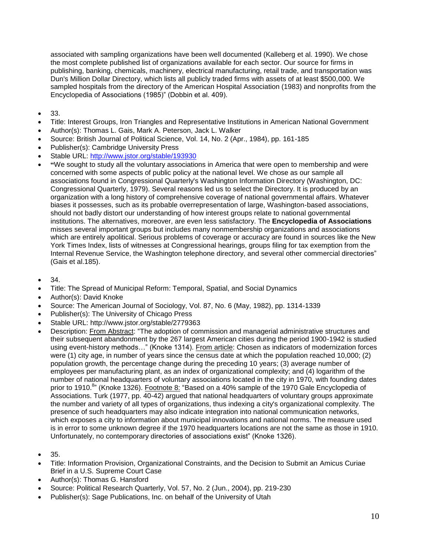associated with sampling organizations have been well documented (Kalleberg et al. 1990). We chose the most complete published list of organizations available for each sector. Our source for firms in publishing, banking, chemicals, machinery, electrical manufacturing, retail trade, and transportation was Dun's Million Dollar Directory, which lists all publicly traded firms with assets of at least \$500,000. We sampled hospitals from the directory of the American Hospital Association (1983) and nonprofits from the Encyclopedia of Associations (1985)" (Dobbin et al. 409).

- 33.
- Title: Interest Groups, Iron Triangles and Representative Institutions in American National Government
- Author(s): Thomas L. Gais, Mark A. Peterson, Jack L. Walker
- Source: British Journal of Political Science, Vol. 14, No. 2 (Apr., 1984), pp. 161-185
- Publisher(s): Cambridge University Press
- Stable URL:<http://www.jstor.org/stable/193930>
- **"**We sought to study all the voluntary associations in America that were open to membership and were concerned with some aspects of public policy at the national level. We chose as our sample all associations found in Congressional Quarterly's Washington Information Directory (Washington, DC: Congressional Quarterly, 1979). Several reasons led us to select the Directory. It is produced by an organization with a long history of comprehensive coverage of national governmental affairs. Whatever biases it possesses, such as its probable overrepresentation of large, Washington-based associations, should not badly distort our understanding of how interest groups relate to national governmental institutions. The alternatives, moreover, are even less satisfactory. The **Encyclopedia of Associations** misses several important groups but includes many nonmembership organizations and associations which are entirely apolitical. Serious problems of coverage or accuracy are found in sources like the New York Times Index, lists of witnesses at Congressional hearings, groups filing for tax exemption from the Internal Revenue Service, the Washington telephone directory, and several other commercial directories" (Gais et al.185).
- 34.
- Title: The Spread of Municipal Reform: Temporal, Spatial, and Social Dynamics
- Author(s): David Knoke
- Source: The American Journal of Sociology, Vol. 87, No. 6 (May, 1982), pp. 1314-1339
- Publisher(s): The University of Chicago Press
- Stable URL: http://www.jstor.org/stable/2779363
- Description: From Abstract: "The adoption of commission and managerial administrative structures and their subsequent abandonment by the 267 largest American cities during the period 1900-1942 is studied using event-history methods…" (Knoke 1314). From article: Chosen as indicators of modernization forces were (1) city age, in number of years since the census date at which the population reached 10,000; (2) population growth, the percentage change during the preceding 10 years; (3) average number of employees per manufacturing plant, as an index of organizational complexity; and (4) logarithm of the number of national headquarters of voluntary associations located in the city in 1970, with founding dates prior to 1910.<sup>8</sup>" (Knoke 1326). Footnote 8: "Based on a 40% sample of the 1970 Gale Encyclopedia of Associations. Turk (1977, pp. 40-42) argued that national headquarters of voluntary groups approximate the number and variety of all types of organizations, thus indexing a city's organizational complexity. The presence of such headquarters may also indicate integration into national communication networks, which exposes a city to information about municipal innovations and national norms. The measure used is in error to some unknown degree if the 1970 headquarters locations are not the same as those in 1910. Unfortunately, no contemporary directories of associations exist" (Knoke 1326).
- 35.
- Title: Information Provision, Organizational Constraints, and the Decision to Submit an Amicus Curiae Brief in a U.S. Supreme Court Case
- Author(s): Thomas G. Hansford
- Source: Political Research Quarterly, Vol. 57, No. 2 (Jun., 2004), pp. 219-230
- Publisher(s): Sage Publications, Inc. on behalf of the University of Utah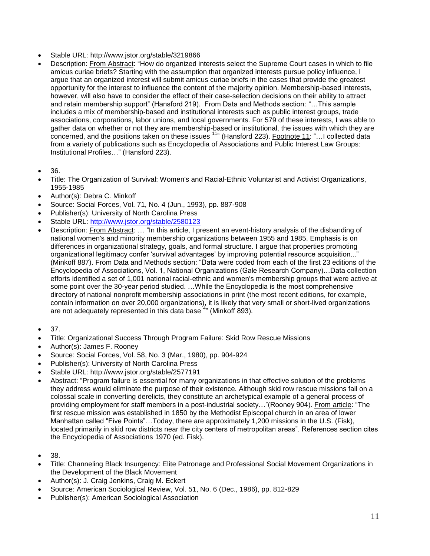- Stable URL: http://www.jstor.org/stable/3219866
- Description: From Abstract: "How do organized interests select the Supreme Court cases in which to file amicus curiae briefs? Starting with the assumption that organized interests pursue policy influence, I argue that an organized interest will submit amicus curiae briefs in the cases that provide the greatest opportunity for the interest to influence the content of the majority opinion. Membership-based interests, however, will also have to consider the effect of their case-selection decisions on their ability to attract and retain membership support" (Hansford 219). From Data and Methods section: "…This sample includes a mix of membership-based and institutional interests such as public interest groups, trade associations, corporations, labor unions, and local governments. For 579 of these interests, I was able to gather data on whether or not they are membership-based or institutional, the issues with which they are concerned, and the positions taken on these issues <sup>11</sup>" (Hansford 223). Footnote 11: "...I collected data from a variety of publications such as Encyclopedia of Associations and Public Interest Law Groups: Institutional Profiles…" (Hansford 223).
- 36.
- Title: The Organization of Survival: Women's and Racial-Ethnic Voluntarist and Activist Organizations, 1955-1985
- Author(s): Debra C. Minkoff
- Source: Social Forces, Vol. 71, No. 4 (Jun., 1993), pp. 887-908
- Publisher(s): University of North Carolina Press
- Stable URL:<http://www.jstor.org/stable/2580123>
- Description: From Abstract: … "In this article, I present an event-history analysis of the disbanding of national women's and minority membership organizations between 1955 and 1985. Emphasis is on differences in organizational strategy, goals, and formal structure. I argue that properties promoting organizational legitimacy confer 'survival advantages' by improving potential resource acquisition..." (Minkoff 887). From Data and Methods section: "Data were coded from each of the first 23 editions of the Encyclopedia of Associations, Vol. 1, National Organizations (Gale Research Company)…Data collection efforts identified a set of 1,001 national racial-ethnic and women's membership groups that were active at some point over the 30-year period studied. …While the Encyclopedia is the most comprehensive directory of national nonprofit membership associations in print (the most recent editions, for example, contain information on over 20,000 organizations), it is likely that very small or short-lived organizations are not adequately represented in this data base <sup>4</sup>" (Minkoff 893).
- $37.$
- Title: Organizational Success Through Program Failure: Skid Row Rescue Missions
- Author(s): James F. Rooney
- Source: Social Forces, Vol. 58, No. 3 (Mar., 1980), pp. 904-924
- Publisher(s): University of North Carolina Press
- Stable URL: http://www.jstor.org/stable/2577191
- Abstract: "Program failure is essential for many organizations in that effective solution of the problems they address would eliminate the purpose of their existence. Although skid row rescue missions fail on a colossal scale in converting derelicts, they constitute an archetypical example of a general process of providing employment for staff members in a post-industrial society…"(Rooney 904). From article: "The first rescue mission was established in 1850 by the Methodist Episcopal church in an area of lower Manhattan called "Five Points"…Today, there are approximately 1,200 missions in the U.S. (Fisk), located primarily in skid row districts near the city centers of metropolitan areas". References section cites the Encyclopedia of Associations 1970 (ed. Fisk).
- 38.
- Title: Channeling Black Insurgency: Elite Patronage and Professional Social Movement Organizations in the Development of the Black Movement
- Author(s): J. Craig Jenkins, Craig M. Eckert
- Source: American Sociological Review, Vol. 51, No. 6 (Dec., 1986), pp. 812-829
- Publisher(s): American Sociological Association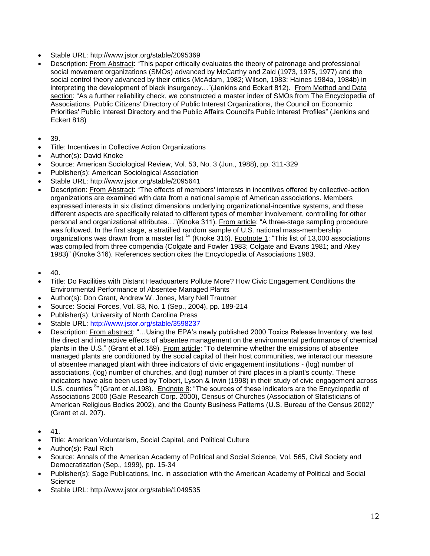- Stable URL: http://www.jstor.org/stable/2095369
- Description: From Abstract: "This paper critically evaluates the theory of patronage and professional social movement organizations (SMOs) advanced by McCarthy and Zald (1973, 1975, 1977) and the social control theory advanced by their critics (McAdam, 1982; Wilson, 1983; Haines 1984a, 1984b) in interpreting the development of black insurgency…"(Jenkins and Eckert 812). From Method and Data section: "As a further reliability check, we constructed a master index of SMOs from The Encyclopedia of Associations, Public Citizens' Directory of Public Interest Organizations, the Council on Economic Priorities' Public Interest Directory and the Public Affairs Council's Public Interest Profiles" (Jenkins and Eckert 818)
- 39.
- Title: Incentives in Collective Action Organizations
- Author(s): David Knoke
- Source: American Sociological Review, Vol. 53, No. 3 (Jun., 1988), pp. 311-329
- Publisher(s): American Sociological Association
- Stable URL: http://www.jstor.org/stable/2095641
- Description: From Abstract: "The effects of members' interests in incentives offered by collective-action organizations are examined with data from a national sample of American associations. Members expressed interests in six distinct dimensions underlying organizational-incentive systems, and these different aspects are specifically related to different types of member involvement, controlling for other personal and organizational attributes…"(Knoke 311). From article: "A three-stage sampling procedure was followed. In the first stage, a stratified random sample of U.S. national mass-membership organizations was drawn from a master list <sup>1</sup>" (Knoke 316). Footnote 1: "This list of 13,000 associations was compiled from three compendia (Colgate and Fowler 1983; Colgate and Evans 1981; and Akey 1983)" (Knoke 316). References section cites the Encyclopedia of Associations 1983.
- $\bullet$  40.
- Title: Do Facilities with Distant Headquarters Pollute More? How Civic Engagement Conditions the Environmental Performance of Absentee Managed Plants
- Author(s): Don Grant, Andrew W. Jones, Mary Nell Trautner
- Source: Social Forces, Vol. 83, No. 1 (Sep., 2004), pp. 189-214
- Publisher(s): University of North Carolina Press
- Stable URL:<http://www.jstor.org/stable/3598237>
- Description: From abstract: "…Using the EPA's newly published 2000 Toxics Release Inventory, we test the direct and interactive effects of absentee management on the environmental performance of chemical plants in the U.S." (Grant et al.189). From article: "To determine whether the emissions of absentee managed plants are conditioned by the social capital of their host communities, we interact our measure of absentee managed plant with three indicators of civic engagement institutions - (log) number of associations, (log) number of churches, and (log) number of third places in a plant's county. These indicators have also been used by Tolbert, Lyson & Irwin (1998) in their study of civic engagement across U.S. counties <sup>8</sup> (Grant et al.198). Endnote 8: "The sources of these indicators are the Encyclopedia of Associations 2000 (Gale Research Corp. 2000), Census of Churches (Association of Statisticians of American Religious Bodies 2002), and the County Business Patterns (U.S. Bureau of the Census 2002)" (Grant et al. 207).
- 41.
- Title: American Voluntarism, Social Capital, and Political Culture
- Author(s): Paul Rich
- Source: Annals of the American Academy of Political and Social Science, Vol. 565, Civil Society and Democratization (Sep., 1999), pp. 15-34
- Publisher(s): Sage Publications, Inc. in association with the American Academy of Political and Social **Science**
- Stable URL: http://www.jstor.org/stable/1049535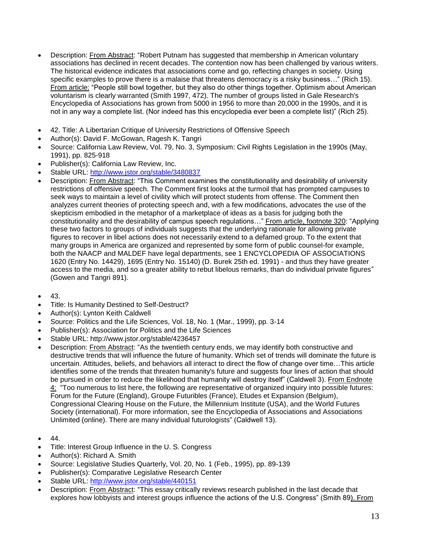- Description: From Abstract: "Robert Putnam has suggested that membership in American voluntary associations has declined in recent decades. The contention now has been challenged by various writers. The historical evidence indicates that associations come and go, reflecting changes in society. Using specific examples to prove there is a malaise that threatens democracy is a risky business..." (Rich 15). From article: "People still bowl together, but they also do other things together. Optimism about American voluntarism is clearly warranted (Smith 1997, 472). The number of groups listed in Gale Research's Encyclopedia of Associations has grown from 5000 in 1956 to more than 20,000 in the 1990s, and it is not in any way a complete list. (Nor indeed has this encyclopedia ever been a complete list)" (Rich 25).
- 42. Title: A Libertarian Critique of University Restrictions of Offensive Speech
- Author(s): David F. McGowan, Ragesh K. Tangri
- Source: California Law Review, Vol. 79, No. 3, Symposium: Civil Rights Legislation in the 1990s (May, 1991), pp. 825-918
- Publisher(s): California Law Review, Inc.
- Stable URL:<http://www.jstor.org/stable/3480837>
- Description: From Abstract: "This Comment examines the constitutionality and desirability of university restrictions of offensive speech. The Comment first looks at the turmoil that has prompted campuses to seek ways to maintain a level of civility which will protect students from offense. The Comment then analyzes current theories of protecting speech and, with a few modifications, advocates the use of the skepticism embodied in the metaphor of a marketplace of ideas as a basis for judging both the constitutionality and the desirability of campus speech regulations…" From article, footnote 320: "Applying these two factors to groups of individuals suggests that the underlying rationale for allowing private figures to recover in libel actions does not necessarily extend to a defamed group. To the extent that many groups in America are organized and represented by some form of public counsel-for example, both the NAACP and MALDEF have legal departments, see 1 ENCYCLOPEDIA OF ASSOCIATIONS 1620 (Entry No. 14429), 1695 (Entry No. 15140) (D. Burek 25th ed. 1991) - and thus they have greater access to the media, and so a greater ability to rebut libelous remarks, than do individual private figures" (Gowen and Tangri 891).
- 43.
- Title: Is Humanity Destined to Self-Destruct?
- Author(s): Lynton Keith Caldwell
- Source: Politics and the Life Sciences, Vol. 18, No. 1 (Mar., 1999), pp. 3-14
- Publisher(s): Association for Politics and the Life Sciences
- Stable URL: http://www.jstor.org/stable/4236457
- Description: From Abstract: "As the twentieth century ends, we may identify both constructive and destructive trends that will influence the future of humanity. Which set of trends will dominate the future is uncertain. Attitudes, beliefs, and behaviors all interact to direct the flow of change over time…This article identifies some of the trends that threaten humanity's future and suggests four lines of action that should be pursued in order to reduce the likelihood that humanity will destroy itself" (Caldwell 3). From Endnote 4: "Too numerous to list here, the following are representative of organized inquiry into possible futures: Forum for the Future (England), Groupe Futuribles (France), Etudes et Expansion (Belgium), Congressional Clearing House on the Future, the Millennium Institute (USA), and the World Futures Society (international). For more information, see the Encyclopedia of Associations and Associations Unlimited (online). There are many individual futurologists" (Caldwell 13).
- 44.
- Title: Interest Group Influence in the U. S. Congress
- Author(s): Richard A. Smith
- Source: Legislative Studies Quarterly, Vol. 20, No. 1 (Feb., 1995), pp. 89-139
- Publisher(s): Comparative Legislative Research Center
- Stable URL:<http://www.jstor.org/stable/440151>
- Description: From Abstract: "This essay critically reviews research published in the last decade that explores how lobbyists and interest groups influence the actions of the U.S. Congress" (Smith 89). From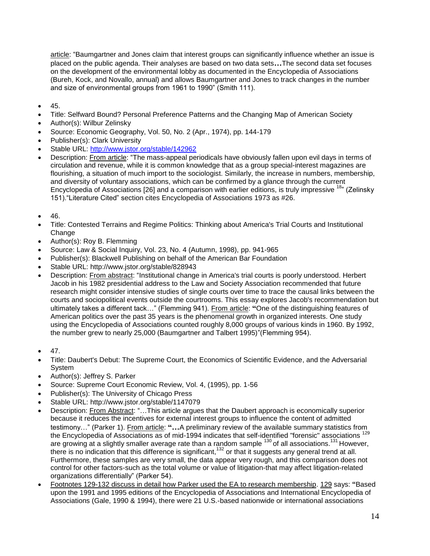article: "Baumgartner and Jones claim that interest groups can significantly influence whether an issue is placed on the public agenda. Their analyses are based on two data sets**…**The second data set focuses on the development of the environmental lobby as documented in the Encyclopedia of Associations (Bureh, Kock, and Novallo, annual) and allows Baumgartner and Jones to track changes in the number and size of environmental groups from 1961 to 1990" (Smith 111).

- 45.
- Title: Selfward Bound? Personal Preference Patterns and the Changing Map of American Society
- Author(s): Wilbur Zelinsky
- Source: Economic Geography, Vol. 50, No. 2 (Apr., 1974), pp. 144-179
- Publisher(s): Clark University
- Stable URL:<http://www.jstor.org/stable/142962>
- Description: From article: "The mass-appeal periodicals have obviously fallen upon evil days in terms of circulation and revenue, while it is common knowledge that as a group special-interest magazines are flourishing, a situation of much import to the sociologist. Similarly, the increase in numbers, membership, and diversity of voluntary associations, which can be confirmed by a glance through the current Encyclopedia of Associations [26] and a comparison with earlier editions, is truly impressive <sup>18</sup>" (Zelinsky 151)."Literature Cited" section cites Encyclopedia of Associations 1973 as #26.
- 46.
- Title: Contested Terrains and Regime Politics: Thinking about America's Trial Courts and Institutional Change
- Author(s): Roy B. Flemming
- Source: Law & Social Inquiry, Vol. 23, No. 4 (Autumn, 1998), pp. 941-965
- Publisher(s): Blackwell Publishing on behalf of the American Bar Foundation
- Stable URL: http://www.jstor.org/stable/828943
- Description: From abstract: "Institutional change in America's trial courts is poorly understood. Herbert Jacob in his 1982 presidential address to the Law and Society Association recommended that future research might consider intensive studies of single courts over time to trace the causal links between the courts and sociopolitical events outside the courtrooms. This essay explores Jacob's recommendation but ultimately takes a different tack…" (Flemming 941). From article: **"**One of the distinguishing features of American politics over the past 35 years is the phenomenal growth in organized interests. One study using the Encyclopedia of Associations counted roughly 8,000 groups of various kinds in 1960. By 1992, the number grew to nearly 25,000 (Baumgartner and Talbert 1995)"(Flemming 954).
- 47.
- Title: Daubert's Debut: The Supreme Court, the Economics of Scientific Evidence, and the Adversarial System
- Author(s): Jeffrey S. Parker
- Source: Supreme Court Economic Review, Vol. 4, (1995), pp. 1-56
- Publisher(s): The University of Chicago Press
- Stable URL: http://www.jstor.org/stable/1147079
- Description: From Abstract: "…This article argues that the Daubert approach is economically superior because it reduces the incentives for external interest groups to influence the content of admitted testimony…" (Parker 1). From article: **"…**A preliminary review of the available summary statistics from the Encyclopedia of Associations as of mid-1994 indicates that self-identified "forensic" associations <sup>129</sup> are growing at a slightly smaller average rate than a random sample  $^{130}$  of all associations.<sup>131</sup> However, there is no indication that this difference is significant,  $132$  or that it suggests any general trend at all. Furthermore, these samples are very small, the data appear very rough, and this comparison does not control for other factors-such as the total volume or value of litigation-that may affect litigation-related organizations differentially" (Parker 54).
- Footnotes 129-132 discuss in detail how Parker used the EA to research membership. 129 says: **"**Based upon the 1991 and 1995 editions of the Encyclopedia of Associations and International Encyclopedia of Associations (Gale, 1990 & 1994), there were 21 U.S.-based nationwide or international associations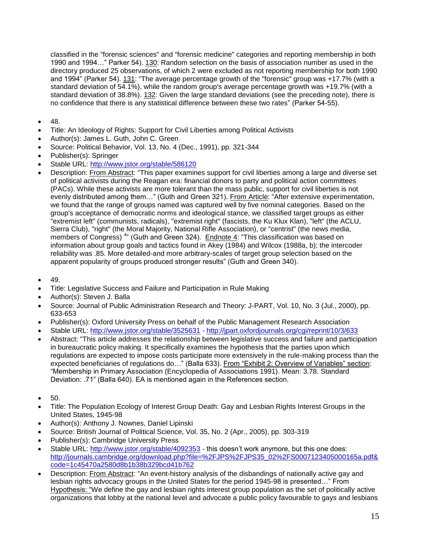classified in the "forensic sciences" and "forensic medicine" categories and reporting membership in both 1990 and 1994…" Parker 54). 130: Random selection on the basis of association number as used in the directory produced 25 observations, of which 2 were excluded as not reporting membership for both 1990 and 1994" (Parker 54). 131: "The average percentage growth of the "forensic" group was +17.7% (with a standard deviation of 54.1%), while the random group's average percentage growth was +19.7% (with a standard deviation of 38.8%). 132: Given the large standard deviations (see the preceding note), there is no confidence that there is any statistical difference between these two rates" (Parker 54-55).

- $48.$
- Title: An Ideology of Rights: Support for Civil Liberties among Political Activists
- Author(s): James L. Guth, John C. Green
- Source: Political Behavior, Vol. 13, No. 4 (Dec., 1991), pp. 321-344
- Publisher(s): Springer
- Stable URL:<http://www.jstor.org/stable/586120>
- Description: From Abstract: "This paper examines support for civil liberties among a large and diverse set of political activists during the Reagan era: financial donors to party and political action committees (PACs). While these activists are more tolerant than the mass public, support for civil liberties is not evenly distributed among them..." (Guth and Green 321). From Article: "After extensive experimentation, we found that the range of groups named was captured well by five nominal categories. Based on the group's acceptance of democratic norms and ideological stance, we classified target groups as either "extremist left" (communists, radicals), "extremist right" (fascists, the Ku Klux Klan), "left" (the ACLU, Sierra Club), "right" (the Moral Majority, National Rifle Association), or "centrist" (the news media, members of Congress)<sup>4</sup> (Guth and Green 324). Endnote 4: "This classification was based on information about group goals and tactics found in Akey (1984) and Wilcox (1988a, b); the intercoder reliability was .85. More detailed-and more arbitrary-scales of target group selection based on the apparent popularity of groups produced stronger results" (Guth and Green 340).
- 49.
- Title: Legislative Success and Failure and Participation in Rule Making
- Author(s): Steven J. Balla
- Source: Journal of Public Administration Research and Theory: J-PART, Vol. 10, No. 3 (Jul., 2000), pp. 633-653
- Publisher(s): Oxford University Press on behalf of the Public Management Research Association
- Stable URL:<http://www.jstor.org/stable/3525631> <http://jpart.oxfordjournals.org/cgi/reprint/10/3/633>
- Abstract: "This article addresses the relationship between legislative success and failure and participation in bureaucratic policy making. It specifically examines the hypothesis that the parties upon which regulations are expected to impose costs participate more extensively in the rule-making process than the expected beneficiaries of regulations do…" (Balla 633). From "Exhibit 2: Overview of Variables" section: "Membership in Primary Association (Encyclopedia of Associations 1991). Mean: 3.78. Standard Deviation: .71" (Balla 640). EA is mentioned again in the References section.
- 50.
- Title: The Population Ecology of Interest Group Death: Gay and Lesbian Rights Interest Groups in the United States, 1945-98
- Author(s): Anthony J. Nownes, Daniel Lipinski
- Source: British Journal of Political Science, Vol. 35, No. 2 (Apr., 2005), pp. 303-319
- Publisher(s): Cambridge University Press
- Stable URL:<http://www.jstor.org/stable/4092353> this doesn't work anymore, but this one does: [http://journals.cambridge.org/download.php?file=%2FJPS%2FJPS35\\_02%2FS0007123405000165a.pdf&](http://journals.cambridge.org/download.php?file=%2FJPS%2FJPS35_02%2FS0007123405000165a.pdf&code=1c45470a2580d8b1b38b329bcd41b762) [code=1c45470a2580d8b1b38b329bcd41b762](http://journals.cambridge.org/download.php?file=%2FJPS%2FJPS35_02%2FS0007123405000165a.pdf&code=1c45470a2580d8b1b38b329bcd41b762)
- Description: From Abstract: "An event-history analysis of the disbandings of nationally active gay and lesbian rights advocacy groups in the United States for the period 1945-98 is presented…" From Hypothesis: "We define the gay and lesbian rights interest group population as the set of politically active organizations that lobby at the national level and advocate a public policy favourable to gays and lesbians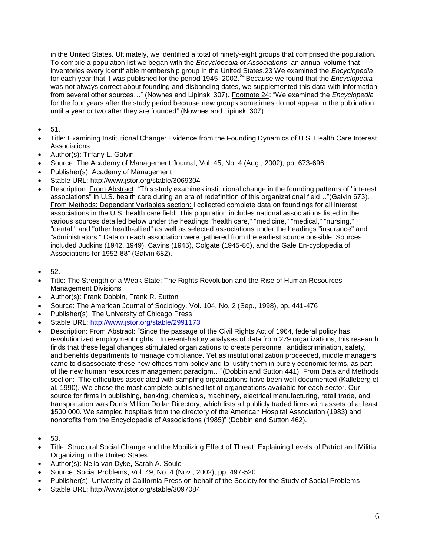in the United States. Ultimately, we identified a total of ninety-eight groups that comprised the population. To compile a population list we began with the *Encyclopedia of Associations*, an annual volume that inventories every identifiable membership group in the United States.23 We examined the *Encyclopedia*  for each year that it was published for the period 1945–2002.<sup>24</sup> Because we found that the *Encyclopedia* was not always correct about founding and disbanding dates, we supplemented this data with information from several other sources…" (Nownes and Lipinski 307). Footnote 24: "We examined the *Encyclopedia*  for the four years after the study period because new groups sometimes do not appear in the publication until a year or two after they are founded" (Nownes and Lipinski 307).

- 51.
- Title: Examining Institutional Change: Evidence from the Founding Dynamics of U.S. Health Care Interest Associations
- Author(s): Tiffany L. Galvin
- Source: The Academy of Management Journal, Vol. 45, No. 4 (Aug., 2002), pp. 673-696
- Publisher(s): Academy of Management
- Stable URL: http://www.jstor.org/stable/3069304
- Description: From Abstract: "This study examines institutional change in the founding patterns of "interest associations" in U.S. health care during an era of redefinition of this organizational field…"(Galvin 673). From Methods: Dependent Variables section: I collected complete data on foundings for all interest associations in the U.S. health care field. This population includes national associations listed in the various sources detailed below under the headings "health care," "medicine," "medical," "nursing," "dental," and "other health-allied" as well as selected associations under the headings "insurance" and "administrators." Data on each association were gathered from the earliest source possible. Sources included Judkins (1942, 1949), Cavins (1945), Colgate (1945-86), and the Gale En-cyclopedia of Associations for 1952-88" (Galvin 682).
- $52.$
- Title: The Strength of a Weak State: The Rights Revolution and the Rise of Human Resources Management Divisions
- Author(s): Frank Dobbin, Frank R. Sutton
- Source: The American Journal of Sociology, Vol. 104, No. 2 (Sep., 1998), pp. 441-476
- Publisher(s): The University of Chicago Press
- Stable URL:<http://www.jstor.org/stable/2991173>
- Description: From Abstract: "Since the passage of the Civil Rights Act of 1964, federal policy has revolutionized employment rights…In event-history analyses of data from 279 organizations, this research finds that these legal changes stimulated organizations to create personnel, antidiscrimination, safety, and benefits departments to manage compliance. Yet as institutionalization proceeded, middle managers came to disassociate these new offices from policy and to justify them in purely economic terms, as part of the new human resources management paradigm…"(Dobbin and Sutton 441). From Data and Methods section: "The difficulties associated with sampling organizations have been well documented (Kalleberg et al. 1990). We chose the most complete published list of organizations available for each sector. Our source for firms in publishing, banking, chemicals, machinery, electrical manufacturing, retail trade, and transportation was Dun's Million Dollar Directory, which lists all publicly traded firms with assets of at least \$500,000. We sampled hospitals from the directory of the American Hospital Association (1983) and nonprofits from the Encyclopedia of Associations (1985)" (Dobbin and Sutton 462).
- 53.
- Title: Structural Social Change and the Mobilizing Effect of Threat: Explaining Levels of Patriot and Militia Organizing in the United States
- Author(s): Nella van Dyke, Sarah A. Soule
- Source: Social Problems, Vol. 49, No. 4 (Nov., 2002), pp. 497-520
- Publisher(s): University of California Press on behalf of the Society for the Study of Social Problems
- Stable URL: http://www.jstor.org/stable/3097084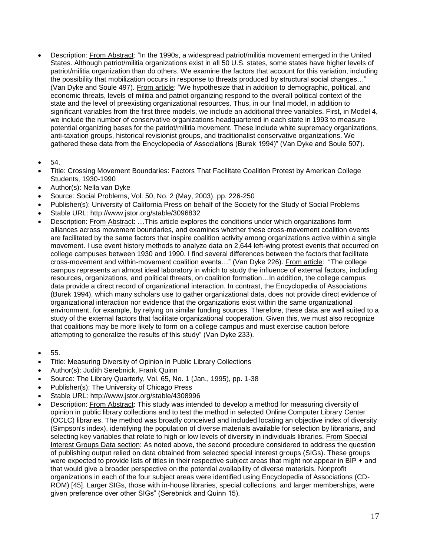- Description: From Abstract: "In the 1990s, a widespread patriot/militia movement emerged in the United States. Although patriot/militia organizations exist in all 50 U.S. states, some states have higher levels of patriot/militia organization than do others. We examine the factors that account for this variation, including the possibility that mobilization occurs in response to threats produced by structural social changes…" (Van Dyke and Soule 497). From article: "We hypothesize that in addition to demographic, political, and economic threats, levels of militia and patriot organizing respond to the overall political context of the state and the level of preexisting organizational resources. Thus, in our final model, in addition to significant variables from the first three models, we include an additional three variables. First, in Model 4, we include the number of conservative organizations headquartered in each state in 1993 to measure potential organizing bases for the patriot/militia movement. These include white supremacy organizations, anti-taxation groups, historical revisionist groups, and traditionalist conservative organizations. We gathered these data from the Encyclopedia of Associations (Burek 1994)" (Van Dyke and Soule 507).
- 54.
- Title: Crossing Movement Boundaries: Factors That Facilitate Coalition Protest by American College Students, 1930-1990
- Author(s): Nella van Dyke
- Source: Social Problems, Vol. 50, No. 2 (May, 2003), pp. 226-250
- Publisher(s): University of California Press on behalf of the Society for the Study of Social Problems
- Stable URL: http://www.jstor.org/stable/3096832
- Description: From Abstract: …This article explores the conditions under which organizations form alliances across movement boundaries, and examines whether these cross-movement coalition events are facilitated by the same factors that inspire coalition activity among organizations active within a single movement. I use event history methods to analyze data on 2,644 left-wing protest events that occurred on college campuses between 1930 and 1990. I find several differences between the factors that facilitate cross-movement and within-movement coalition events…" (Van Dyke 226). From article: "The college campus represents an almost ideal laboratory in which to study the influence of external factors, including resources, organizations, and political threats, on coalition formation…In addition, the college campus data provide a direct record of organizational interaction. In contrast, the Encyclopedia of Associations (Burek 1994), which many scholars use to gather organizational data, does not provide direct evidence of organizational interaction nor evidence that the organizations exist within the same organizational environment, for example, by relying on similar funding sources. Therefore, these data are well suited to a study of the external factors that facilitate organizational cooperation. Given this, we must also recognize that coalitions may be more likely to form on a college campus and must exercise caution before attempting to generalize the results of this study" (Van Dyke 233).
- 55.
- Title: Measuring Diversity of Opinion in Public Library Collections
- Author(s): Judith Serebnick, Frank Quinn
- Source: The Library Quarterly, Vol. 65, No. 1 (Jan., 1995), pp. 1-38
- Publisher(s): The University of Chicago Press
- Stable URL: http://www.jstor.org/stable/4308996
- Description: From Abstract: This study was intended to develop a method for measuring diversity of opinion in public library collections and to test the method in selected Online Computer Library Center (OCLC) libraries. The method was broadly conceived and included locating an objective index of diversity (Simpson's index), identifying the population of diverse materials available for selection by librarians, and selecting key variables that relate to high or low levels of diversity in individuals libraries. From Special Interest Groups Data section: As noted above, the second procedure considered to address the question of publishing output relied on data obtained from selected special interest groups (SIGs). These groups were expected to provide lists of titles in their respective subject areas that might not appear in BIP + and that would give a broader perspective on the potential availability of diverse materials. Nonprofit organizations in each of the four subject areas were identified using Encyclopedia of Associations (CD-ROM) [45]. Larger SIGs, those with in-house libraries, special collections, and larger memberships, were given preference over other SIGs" (Serebnick and Quinn 15).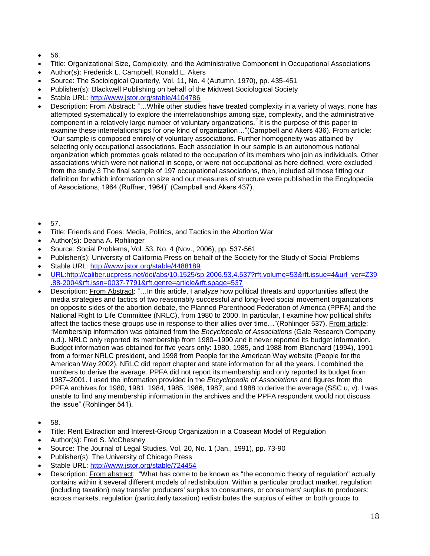- 56.
- Title: Organizational Size, Complexity, and the Administrative Component in Occupational Associations
- Author(s): Frederick L. Campbell, Ronald L. Akers
- Source: The Sociological Quarterly, Vol. 11, No. 4 (Autumn, 1970), pp. 435-451
- Publisher(s): Blackwell Publishing on behalf of the Midwest Sociological Society
- Stable URL:<http://www.jstor.org/stable/4104786>
- Description: From Abstract: "…While other studies have treated complexity in a variety of ways, none has attempted systematically to explore the interrelationships among size, complexity, and the administrative component in a relatively large number of voluntary organizations.<sup>2</sup> It is the purpose of this paper to examine these interrelationships for one kind of organization…"(Campbell and Akers 436). From article: "Our sample is composed entirely of voluntary associations. Further homogeneity was attained by selecting only occupational associations. Each association in our sample is an autonomous national organization which promotes goals related to the occupation of its members who join as individuals. Other associations which were not national in scope, or were not occupational as here defined, were excluded from the study.3 The final sample of 197 occupational associations, then, included all those fitting our definition for which information on size and our measures of structure were published in the Encylopedia of Associations, 1964 (Ruffner, 1964)" (Campbell and Akers 437).
- 57.
- Title: Friends and Foes: Media, Politics, and Tactics in the Abortion War
- Author(s): Deana A. Rohlinger
- Source: Social Problems, Vol. 53, No. 4 (Nov., 2006), pp. 537-561
- Publisher(s): University of California Press on behalf of the Society for the Study of Social Problems
- Stable URL:<http://www.jstor.org/stable/4488189>
- [URL:http://caliber.ucpress.net/doi/abs/10.1525/sp.2006.53.4.537?rft.volume=53&rft.issue=4&url\\_ver=Z39](http://caliber.ucpress.net/doi/abs/10.1525/sp.2006.53.4.537?rft.volume=53&rft.issue=4&url_ver=Z39.88-2004&rft.issn=0037-7791&rft.genre=article&rft.spage=537) [.88-2004&rft.issn=0037-7791&rft.genre=article&rft.spage=537](http://caliber.ucpress.net/doi/abs/10.1525/sp.2006.53.4.537?rft.volume=53&rft.issue=4&url_ver=Z39.88-2004&rft.issn=0037-7791&rft.genre=article&rft.spage=537)
- Description: From Abstract: "…In this article, I analyze how political threats and opportunities affect the media strategies and tactics of two reasonably successful and long-lived social movement organizations on opposite sides of the abortion debate, the Planned Parenthood Federation of America (PPFA) and the National Right to Life Committee (NRLC), from 1980 to 2000. In particular, I examine how political shifts affect the tactics these groups use in response to their allies over time…"(Rohlinger 537). From article: "Membership information was obtained from the *Encyclopedia of Associations* (Gale Research Company n.d.). NRLC only reported its membership from 1980–1990 and it never reported its budget information. Budget information was obtained for five years only: 1980, 1985, and 1988 from Blanchard (1994), 1991 from a former NRLC president, and 1998 from People for the American Way website (People for the American Way 2002). NRLC did report chapter and state information for all the years. I combined the numbers to derive the average. PPFA did not report its membership and only reported its budget from 1987–2001. I used the information provided in the *Encyclopedia of Associations* and figures from the PPFA archives for 1980, 1981, 1984, 1985, 1986, 1987, and 1988 to derive the average (SSC u, v). I was unable to find any membership information in the archives and the PPFA respondent would not discuss the issue" (Rohlinger 541).
- 58.
- Title: Rent Extraction and Interest-Group Organization in a Coasean Model of Regulation
- Author(s): Fred S. McChesney
- Source: The Journal of Legal Studies, Vol. 20, No. 1 (Jan., 1991), pp. 73-90
- Publisher(s): The University of Chicago Press
- Stable URL:<http://www.jstor.org/stable/724454>
- Description: From abstract: "What has come to be known as "the economic theory of regulation" actually contains within it several different models of redistribution. Within a particular product market, regulation (including taxation) may transfer producers' surplus to consumers, or consumers' surplus to producers; across markets, regulation (particularly taxation) redistributes the surplus of either or both groups to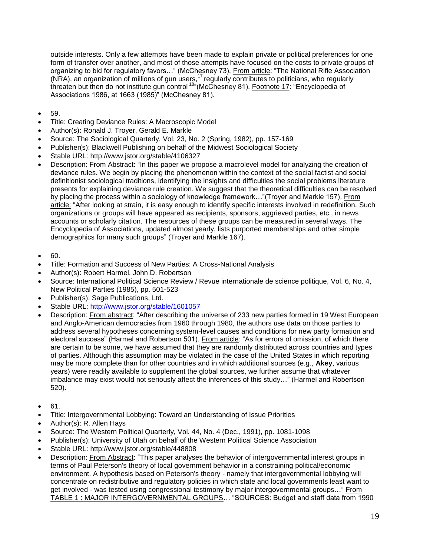outside interests. Only a few attempts have been made to explain private or political preferences for one form of transfer over another, and most of those attempts have focused on the costs to private groups of organizing to bid for regulatory favors..." (McChesney 73). From article: "The National Rifle Association (NRA), an organization of millions of gun users,<sup>17</sup> regularly contributes to politicians, who regularly threaten but then do not institute gun control <sup>18</sup>"(McChesney 81). Footnote 17: "Encyclopedia of Associations 1986, at 1663 (1985)" (McChesney 81).

- 59.
- Title: Creating Deviance Rules: A Macroscopic Model
- Author(s): Ronald J. Troyer, Gerald E. Markle
- Source: The Sociological Quarterly, Vol. 23, No. 2 (Spring, 1982), pp. 157-169
- Publisher(s): Blackwell Publishing on behalf of the Midwest Sociological Society
- Stable URL: http://www.jstor.org/stable/4106327
- Description: From Abstract: "In this paper we propose a macrolevel model for analyzing the creation of deviance rules. We begin by placing the phenomenon within the context of the social factist and social definitionist sociological traditions, identifying the insights and difficulties the social problems literature presents for explaining deviance rule creation. We suggest that the theoretical difficulties can be resolved by placing the process within a sociology of knowledge framework..."(Troyer and Markle 157). From article: "After looking at strain, it is easy enough to identify specific interests involved in redefinition. Such organizations or groups will have appeared as recipients, sponsors, aggrieved parties, etc., in news accounts or scholarly citation. The resources of these groups can be measured in several ways. The Encyclopedia of Associations, updated almost yearly, lists purported memberships and other simple demographics for many such groups" (Troyer and Markle 167).
- 60.
- Title: Formation and Success of New Parties: A Cross-National Analysis
- Author(s): Robert Harmel, John D. Robertson
- Source: International Political Science Review / Revue internationale de science politique, Vol. 6, No. 4, New Political Parties (1985), pp. 501-523
- Publisher(s): Sage Publications, Ltd.
- Stable URL:<http://www.jstor.org/stable/1601057>
- Description: From abstract: "After describing the universe of 233 new parties formed in 19 West European and Anglo-American democracies from 1960 through 1980, the authors use data on those parties to address several hypotheses concerning system-level causes and conditions for new party formation and electoral success" (Harmel and Robertson 501). From article: "As for errors of omission, of which there are certain to be some, we have assumed that they are randomly distributed across countries and types of parties. Although this assumption may be violated in the case of the United States in which reporting may be more complete than for other countries and in which additional sources (e.g., **Akey**, various years) were readily available to supplement the global sources, we further assume that whatever imbalance may exist would not seriously affect the inferences of this study…" (Harmel and Robertson 520).
- $61.$
- Title: Intergovernmental Lobbying: Toward an Understanding of Issue Priorities
- Author(s): R. Allen Hays
- Source: The Western Political Quarterly, Vol. 44, No. 4 (Dec., 1991), pp. 1081-1098
- Publisher(s): University of Utah on behalf of the Western Political Science Association
- Stable URL: http://www.jstor.org/stable/448808
- Description: From Abstract: "This paper analyses the behavior of intergovernmental interest groups in terms of Paul Peterson's theory of local government behavior in a constraining political/economic environment. A hypothesis based on Peterson's theory - namely that intergovernmental lobbying will concentrate on redistributive and regulatory policies in which state and local governments least want to get involved - was tested using congressional testimony by major intergovernmental groups..." From TABLE 1 : MAJOR INTERGOVERNMENTAL GROUPS… "SOURCES: Budget and staff data from 1990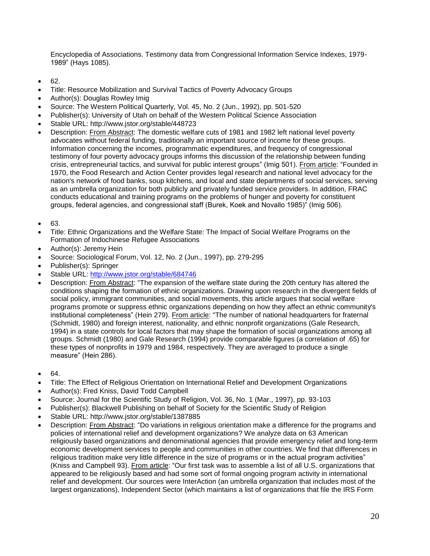Encyclopedia of Associations. Testimony data from Congressional Information Service Indexes, 1979- 1989" (Hays 1085).

- 62.
- Title: Resource Mobilization and Survival Tactics of Poverty Advocacy Groups
- Author(s): Douglas Rowley Imig
- Source: The Western Political Quarterly, Vol. 45, No. 2 (Jun., 1992), pp. 501-520
- Publisher(s): University of Utah on behalf of the Western Political Science Association
- Stable URL: http://www.jstor.org/stable/448723
- Description: From Abstract: The domestic welfare cuts of 1981 and 1982 left national level poverty advocates without federal funding, traditionally an important source of income for these groups. Information concerning the incomes, programmatic expenditures, and frequency of congressional testimony of four poverty advocacy groups informs this discussion of the relationship between funding crisis, entrepreneurial tactics, and survival for public interest groups" (Imig 501). From article: "Founded in 1970, the Food Research and Action Center provides legal research and national level advocacy for the nation's network of food banks, soup kitchens, and local and state departments of social services, serving as an umbrella organization for both publicly and privately funded service providers. In addition, FRAC conducts educational and training programs on the problems of hunger and poverty for constituent groups, federal agencies, and congressional staff (Burek, Koek and Novallo 1985)" (Imig 506).
- 63.
- Title: Ethnic Organizations and the Welfare State: The Impact of Social Welfare Programs on the Formation of Indochinese Refugee Associations
- Author(s): Jeremy Hein
- Source: Sociological Forum, Vol. 12, No. 2 (Jun., 1997), pp. 279-295
- Publisher(s): Springer
- Stable URL:<http://www.jstor.org/stable/684746>
- Description: From Abstract: "The expansion of the welfare state during the 20th century has altered the conditions shaping the formation of ethnic organizations. Drawing upon research in the divergent fields of social policy, immigrant communities, and social movements, this article argues that social welfare programs promote or suppress ethnic organizations depending on how they affect an ethnic community's institutional completeness" (Hein 279). From article: "The number of national headquarters for fraternal (Schmidt, 1980) and foreign interest, nationality, and ethnic nonprofit organizations (Gale Research, 1994) in a state controls for local factors that may shape the formation of social organizations among all groups. Schmidt (1980) and Gale Research (1994) provide comparable figures (a correlation of .65) for these types of nonprofits in 1979 and 1984, respectively. They are averaged to produce a single measure" (Hein 286).
- $64.$
- Title: The Effect of Religious Orientation on International Relief and Development Organizations
- Author(s): Fred Kniss, David Todd Campbell
- Source: Journal for the Scientific Study of Religion, Vol. 36, No. 1 (Mar., 1997), pp. 93-103
- Publisher(s): Blackwell Publishing on behalf of Society for the Scientific Study of Religion
- Stable URL: http://www.jstor.org/stable/1387885
- Description: From Abstract: "Do variations in religious orientation make a difference for the programs and policies of international relief and development organizations? We analyze data on 63 American religiously based organizations and denominational agencies that provide emergency relief and long-term economic development services to people and communities in other countries. We find that differences in religious tradition make very little difference in the size of programs or in the actual program activities" (Kniss and Campbell 93). From article: "Our first task was to assemble a list of all U.S. organizations that appeared to be religiously based and had some sort of formal ongoing program activity in international relief and development. Our sources were InterAction (an umbrella organization that includes most of the largest organizations), Independent Sector (which maintains a list of organizations that file the IRS Form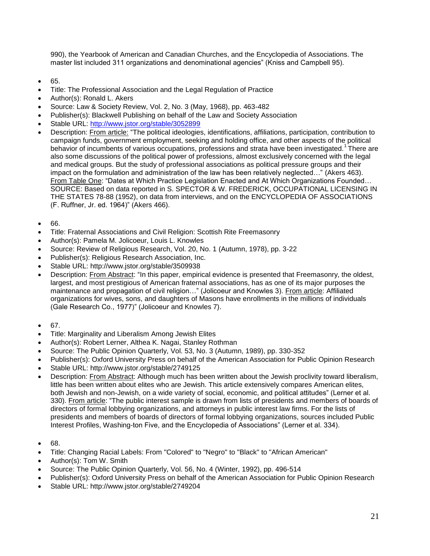990), the Yearbook of American and Canadian Churches, and the Encyclopedia of Associations. The master list included 311 organizations and denominational agencies" (Kniss and Campbell 95).

- 65.
- Title: The Professional Association and the Legal Regulation of Practice
- Author(s): Ronald L. Akers
- Source: Law & Society Review, Vol. 2, No. 3 (May, 1968), pp. 463-482
- Publisher(s): Blackwell Publishing on behalf of the Law and Society Association
- Stable URL:<http://www.jstor.org/stable/3052899>
- Description: From article: "The political ideologies, identifications, affiliations, participation, contribution to campaign funds, government employment, seeking and holding office, and other aspects of the political behavior of incumbents of various occupations, professions and strata have been investigated.<sup>1</sup>There are also some discussions of the political power of professions, almost exclusively concerned with the legal and medical groups. But the study of professional associations as political pressure groups and their impact on the formulation and administration of the law has been relatively neglected…" (Akers 463). From Table One: "Dates at Which Practice Legislation Enacted and At Which Organizations Founded… SOURCE: Based on data reported in S. SPECTOR & W. FREDERICK, OCCUPATIONAL LICENSING IN THE STATES 78-88 (1952), on data from interviews, and on the ENCYCLOPEDIA OF ASSOCIATIONS (F. Ruffner, Jr. ed. 1964)" (Akers 466).
- 66.
- Title: Fraternal Associations and Civil Religion: Scottish Rite Freemasonry
- Author(s): Pamela M. Jolicoeur, Louis L. Knowles
- Source: Review of Religious Research, Vol. 20, No. 1 (Autumn, 1978), pp. 3-22
- Publisher(s): Religious Research Association, Inc.
- Stable URL: http://www.jstor.org/stable/3509938
- Description: From Abstract: "In this paper, empirical evidence is presented that Freemasonry, the oldest, largest, and most prestigious of American fraternal associations, has as one of its major purposes the maintenance and propagation of civil religion…" (Jolicoeur and Knowles 3). From article: Affiliated organizations for wives, sons, and daughters of Masons have enrollments in the millions of individuals (Gale Research Co., 1977)" (Jolicoeur and Knowles 7).
- 67.
- Title: Marginality and Liberalism Among Jewish Elites
- Author(s): Robert Lerner, Althea K. Nagai, Stanley Rothman
- Source: The Public Opinion Quarterly, Vol. 53, No. 3 (Autumn, 1989), pp. 330-352
- Publisher(s): Oxford University Press on behalf of the American Association for Public Opinion Research
- Stable URL: http://www.jstor.org/stable/2749125
- Description: From Abstract: Although much has been written about the Jewish proclivity toward liberalism, little has been written about elites who are Jewish. This article extensively compares American elites, both Jewish and non-Jewish, on a wide variety of social, economic, and political attitudes" (Lerner et al. 330). From article: "The public interest sample is drawn from lists of presidents and members of boards of directors of formal lobbying organizations, and attorneys in public interest law firms. For the lists of presidents and members of boards of directors of formal lobbying organizations, sources included Public Interest Profiles, Washing-ton Five, and the Encyclopedia of Associations" (Lerner et al. 334).
- 68.
- Title: Changing Racial Labels: From "Colored" to "Negro" to "Black" to "African American"
- Author(s): Tom W. Smith
- Source: The Public Opinion Quarterly, Vol. 56, No. 4 (Winter, 1992), pp. 496-514
- Publisher(s): Oxford University Press on behalf of the American Association for Public Opinion Research
- Stable URL: http://www.jstor.org/stable/2749204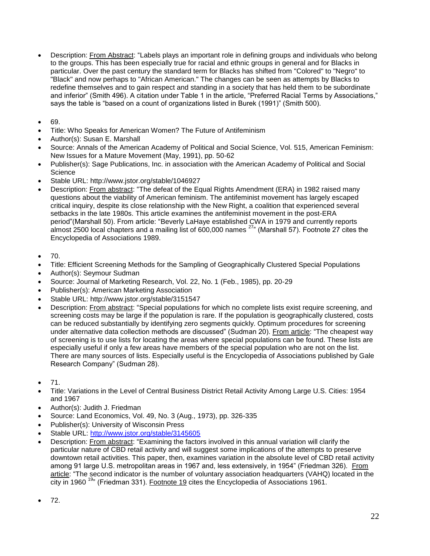- Description: From Abstract: "Labels plays an important role in defining groups and individuals who belong to the groups. This has been especially true for racial and ethnic groups in general and for Blacks in particular. Over the past century the standard term for Blacks has shifted from "Colored" to "Negro" to "Black" and now perhaps to "African American." The changes can be seen as attempts by Blacks to redefine themselves and to gain respect and standing in a society that has held them to be subordinate and inferior" (Smith 496). A citation under Table 1 in the article, "Preferred Racial Terms by Associations," says the table is "based on a count of organizations listed in Burek (1991)" (Smith 500).
- 69.
- Title: Who Speaks for American Women? The Future of Antifeminism
- Author(s): Susan E. Marshall
- Source: Annals of the American Academy of Political and Social Science, Vol. 515, American Feminism: New Issues for a Mature Movement (May, 1991), pp. 50-62
- Publisher(s): Sage Publications, Inc. in association with the American Academy of Political and Social **Science**
- Stable URL: http://www.jstor.org/stable/1046927
- Description: From abstract: "The defeat of the Equal Rights Amendment (ERA) in 1982 raised many questions about the viability of American feminism. The antifeminist movement has largely escaped critical inquiry, despite its close relationship with the New Right, a coalition that experienced several setbacks in the late 1980s. This article examines the antifeminist movement in the post-ERA period"(Marshall 50). From article: "Beverly LaHaye established CWA in 1979 and currently reports almost 2500 local chapters and a mailing list of 600,000 names <sup>27</sup>" (Marshall 57). Footnote 27 cites the Encyclopedia of Associations 1989.
- 70.
- Title: Efficient Screening Methods for the Sampling of Geographically Clustered Special Populations
- Author(s): Seymour Sudman
- Source: Journal of Marketing Research, Vol. 22, No. 1 (Feb., 1985), pp. 20-29
- Publisher(s): American Marketing Association
- Stable URL: http://www.jstor.org/stable/3151547
- Description: From abstract: "Special populations for which no complete lists exist require screening, and screening costs may be large if the population is rare. If the population is geographically clustered, costs can be reduced substantially by identifying zero segments quickly. Optimum procedures for screening under alternative data collection methods are discussed" (Sudman 20). From article: "The cheapest way of screening is to use lists for locating the areas where special populations can be found. These lists are especially useful if only a few areas have members of the special population who are not on the list. There are many sources of lists. Especially useful is the Encyclopedia of Associations published by Gale Research Company" (Sudman 28).
- 71.
- Title: Variations in the Level of Central Business District Retail Activity Among Large U.S. Cities: 1954 and 1967
- Author(s): Judith J. Friedman
- Source: Land Economics, Vol. 49, No. 3 (Aug., 1973), pp. 326-335
- Publisher(s): University of Wisconsin Press
- Stable URL:<http://www.jstor.org/stable/3145605>
- Description: From abstract: "Examining the factors involved in this annual variation will clarify the particular nature of CBD retail activity and will suggest some implications of the attempts to preserve downtown retail activities. This paper, then, examines variation in the absolute level of CBD retail activity among 91 large U.S. metropolitan areas in 1967 and, less extensively, in 1954" (Friedman 326). From article: "The second indicator is the number of voluntary association headquarters (VAHQ) located in the city in 1960<sup>19</sup>" (Friedman 331). Footnote 19 cites the Encyclopedia of Associations 1961.
- $72.$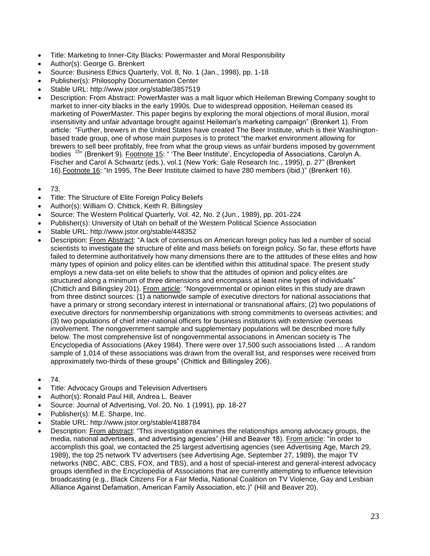- Title: Marketing to Inner-City Blacks: Powermaster and Moral Responsibility
- Author(s): George G. Brenkert
- Source: Business Ethics Quarterly, Vol. 8, No. 1 (Jan., 1998), pp. 1-18
- Publisher(s): Philosophy Documentation Center
- Stable URL: http://www.jstor.org/stable/3857519
- Description: From Abstract: PowerMaster was a malt liquor which Heileman Brewing Company sought to market to inner-city blacks in the early 1990s. Due to widespread opposition, Heileman ceased its marketing of PowerMaster. This paper begins by exploring the moral objections of moral illusion, moral insensitivity and unfair advantage brought against Heileman's marketing campaign" (Brenkert 1). From article: "Further, brewers in the United States have created The Beer Institute, which is their Washingtonbased trade group, one of whose main purposes is to protect "the market environment allowing for brewers to sell beer profitably, free from what the group views as unfair burdens imposed by government bodies <sup>15</sup><sup>"</sup> (Brenkert 9). Footnote 15: " 'The Beer Institute', Encyclopedia of Associations, Carolyn A. Fischer and Carol A Schwartz (eds.), vol.1 (New York: Gale Research Inc., 1995), p. 27" (Brenkert 16).Footnote 16: "In 1995, The Beer Institute claimed to have 280 members (ibid.)" (Brenkert 16).
- 73.
- Title: The Structure of Elite Foreign Policy Beliefs
- Author(s): William O. Chittick, Keith R. Billingsley
- Source: The Western Political Quarterly, Vol. 42, No. 2 (Jun., 1989), pp. 201-224
- Publisher(s): University of Utah on behalf of the Western Political Science Association
- Stable URL: http://www.jstor.org/stable/448352
- Description: From Abstract: "A lack of consensus on American foreign policy has led a number of social scientists to investigate the structure of elite and mass beliefs on foreign policy. So far, these efforts have failed to determine authoritatively how many dimensions there are to the attitudes of these elites and how many types of opinion and policy elites can be identified within this attitudinal space. The present study employs a new data-set on elite beliefs to show that the attitudes of opinion and policy elites are structured along a minimum of three dimensions and encompass at least nine types of individuals" (Chittich and Billingsley 201). From article: "Nongovernmental or opinion elites in this study are drawn from three distinct sources: (1) a nationwide sample of executive directors for national associations that have a primary or strong secondary interest in international or transnational affairs; (2) two populations of executive directors for nonmembership organizations with strong commitments to overseas activities; and (3) two populations of chief inter-national officers for business institutions with extensive overseas involvement. The nongovernment sample and supplementary populations will be described more fully below. The most comprehensive list of nongovernmental associations in American society is The Encyclopedia of Associations (Akey 1984). There were over 17,500 such associations listed ... A random sample of 1,014 of these associations was drawn from the overall list, and responses were received from approximately two-thirds of these groups" (Chittick and Billingsley 206).
- 74.
- Title: Advocacy Groups and Television Advertisers
- Author(s): Ronald Paul Hill, Andrea L. Beaver
- Source: Journal of Advertising, Vol. 20, No. 1 (1991), pp. 18-27
- Publisher(s): M.E. Sharpe, Inc.
- Stable URL: http://www.jstor.org/stable/4188784
- Description: From abstract: "This investigation examines the relationships among advocacy groups, the media, national advertisers, and advertising agencies" (Hill and Beaver 18). From article: "In order to accomplish this goal, we contacted the 25 largest advertising agencies (see Advertising Age, March 29, 1989), the top 25 network TV advertisers (see Advertising Age, September 27, 1989), the major TV networks (NBC, ABC, CBS, FOX, and TBS), and a host of special-interest and general-interest advocacy groups identified in the Encyclopedia of Associations that are currently attempting to influence television broadcasting (e.g., Black Citizens For a Fair Media, National Coalition on TV Violence, Gay and Lesbian Alliance Against Defamation, American Family Association, etc.)" (Hill and Beaver 20).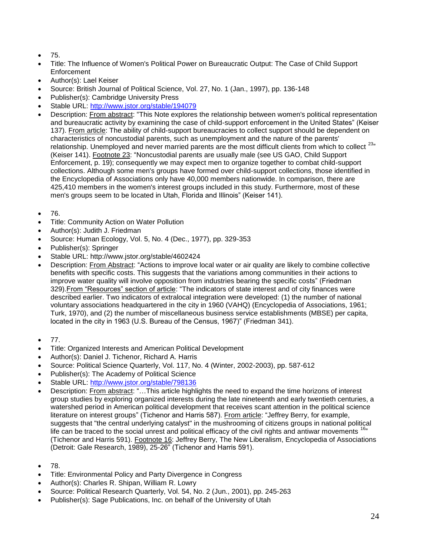- 75.
- Title: The Influence of Women's Political Power on Bureaucratic Output: The Case of Child Support Enforcement
- Author(s): Lael Keiser
- Source: British Journal of Political Science, Vol. 27, No. 1 (Jan., 1997), pp. 136-148
- Publisher(s): Cambridge University Press
- Stable URL:<http://www.jstor.org/stable/194079>
- Description: From abstract: "This Note explores the relationship between women's political representation and bureaucratic activity by examining the case of child-support enforcement in the United States" (Keiser 137). From article: The ability of child-support bureaucracies to collect support should be dependent on characteristics of noncustodial parents, such as unemployment and the nature of the parents' relationship. Unemployed and never married parents are the most difficult clients from which to collect <sup>23"</sup> (Keiser 141). Footnote 23: "Noncustodial parents are usually male (see US GAO, Child Support Enforcement, p. 19); consequently we may expect men to organize together to combat child-support collections. Although some men's groups have formed over child-support collections, those identified in the Encyclopedia of Associations only have 40,000 members nationwide. In comparison, there are 425,410 members in the women's interest groups included in this study. Furthermore, most of these men's groups seem to be located in Utah, Florida and Illinois" (Keiser 141).
- 76.
- Title: Community Action on Water Pollution
- Author(s): Judith J. Friedman
- Source: Human Ecology, Vol. 5, No. 4 (Dec., 1977), pp. 329-353
- Publisher(s): Springer
- Stable URL: http://www.jstor.org/stable/4602424
- Description: From Abstract: "Actions to improve local water or air quality are likely to combine collective benefits with specific costs. This suggests that the variations among communities in their actions to improve water quality will involve opposition from industries bearing the specific costs" (Friedman 329). From "Resources" section of article: "The indicators of state interest and of city finances were described earlier. Two indicators of extralocal integration were developed: (1) the number of national voluntary associations headquartered in the city in 1960 (VAHQ) (Encyclopedia of Associations, 1961; Turk, 1970), and (2) the number of miscellaneous business service establishments (MBSE) per capita, located in the city in 1963 (U.S. Bureau of the Census, 1967)" (Friedman 341).
- $77.$
- Title: Organized Interests and American Political Development
- Author(s): Daniel J. Tichenor, Richard A. Harris
- Source: Political Science Quarterly, Vol. 117, No. 4 (Winter, 2002-2003), pp. 587-612
- Publisher(s): The Academy of Political Science
- Stable URL:<http://www.jstor.org/stable/798136>
- Description: From abstract: "…This article highlights the need to expand the time horizons of interest group studies by exploring organized interests during the late nineteenth and early twentieth centuries, a watershed period in American political development that receives scant attention in the political science literature on interest groups" (Tichenor and Harris 587). From article: "Jeffrey Berry, for example, suggests that "the central underlying catalyst" in the mushrooming of citizens groups in national political life can be traced to the social unrest and political efficacy of the civil rights and antiwar movements  $16$ (Tichenor and Harris 591). Footnote 16: Jeffrey Berry, The New Liberalism, Encyclopedia of Associations (Detroit: Gale Research, 1989), 25-26" (Tichenor and Harris 591).
- 78.
- Title: Environmental Policy and Party Divergence in Congress
- Author(s): Charles R. Shipan, William R. Lowry
- Source: Political Research Quarterly, Vol. 54, No. 2 (Jun., 2001), pp. 245-263
- Publisher(s): Sage Publications, Inc. on behalf of the University of Utah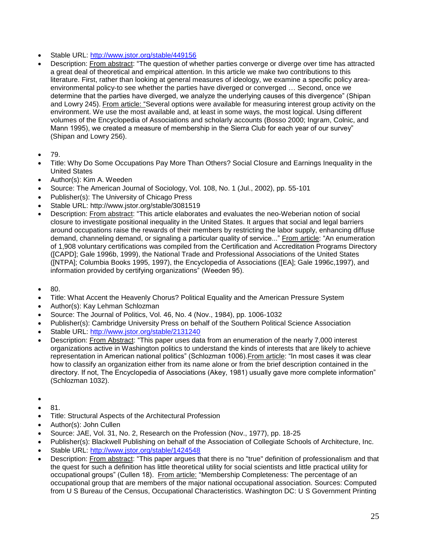- Stable URL:<http://www.jstor.org/stable/449156>
- Description: From abstract: "The question of whether parties converge or diverge over time has attracted a great deal of theoretical and empirical attention. In this article we make two contributions to this literature. First, rather than looking at general measures of ideology, we examine a specific policy areaenvironmental policy-to see whether the parties have diverged or converged … Second, once we determine that the parties have diverged, we analyze the underlying causes of this divergence" (Shipan and Lowry 245). From article: "Several options were available for measuring interest group activity on the environment. We use the most available and, at least in some ways, the most logical. Using different volumes of the Encyclopedia of Associations and scholarly accounts (Bosso 2000; Ingram, Colnic, and Mann 1995), we created a measure of membership in the Sierra Club for each year of our survey" (Shipan and Lowry 256).
- $79.$
- Title: Why Do Some Occupations Pay More Than Others? Social Closure and Earnings Inequality in the United States
- Author(s): Kim A. Weeden
- Source: The American Journal of Sociology, Vol. 108, No. 1 (Jul., 2002), pp. 55-101
- Publisher(s): The University of Chicago Press
- Stable URL: http://www.jstor.org/stable/3081519
- Description: From abstract: "This article elaborates and evaluates the neo-Weberian notion of social closure to investigate positional inequality in the United States. It argues that social and legal barriers around occupations raise the rewards of their members by restricting the labor supply, enhancing diffuse demand, channeling demand, or signaling a particular quality of service..." From article: "An enumeration of 1,908 voluntary certifications was compiled from the Certification and Accreditation Programs Directory ([CAPD]; Gale 1996b, 1999), the National Trade and Professional Associations of the United States ([NTPA]; Columbia Books 1995, 1997), the Encyclopedia of Associations ([EA]; Gale 1996c,1997), and information provided by certifying organizations" (Weeden 95).
- 80.
- Title: What Accent the Heavenly Chorus? Political Equality and the American Pressure System
- Author(s): Kay Lehman Schlozman
- Source: The Journal of Politics, Vol. 46, No. 4 (Nov., 1984), pp. 1006-1032
- Publisher(s): Cambridge University Press on behalf of the Southern Political Science Association
- Stable URL:<http://www.jstor.org/stable/2131240>
- Description: From Abstract: "This paper uses data from an enumeration of the nearly 7,000 interest organizations active in Washington politics to understand the kinds of interests that are likely to achieve representation in American national politics" (Schlozman 1006).From article: "In most cases it was clear how to classify an organization either from its name alone or from the brief description contained in the directory. If not, The Encyclopedia of Associations (Akey, 1981) usually gave more complete information" (Schlozman 1032).
- $\bullet$
- 81.
- Title: Structural Aspects of the Architectural Profession
- Author(s): John Cullen
- Source: JAE, Vol. 31, No. 2, Research on the Profession (Nov., 1977), pp. 18-25
- Publisher(s): Blackwell Publishing on behalf of the Association of Collegiate Schools of Architecture, Inc.
- Stable URL:<http://www.jstor.org/stable/1424548>
- Description: From abstract: "This paper argues that there is no "true" definition of professionalism and that the quest for such a definition has little theoretical utility for social scientists and little practical utility for occupational groups" (Cullen 18). From article: "Membership Completeness: The percentage of an occupational group that are members of the major national occupational association. Sources: Computed from U S Bureau of the Census, Occupational Characteristics. Washington DC: U S Government Printing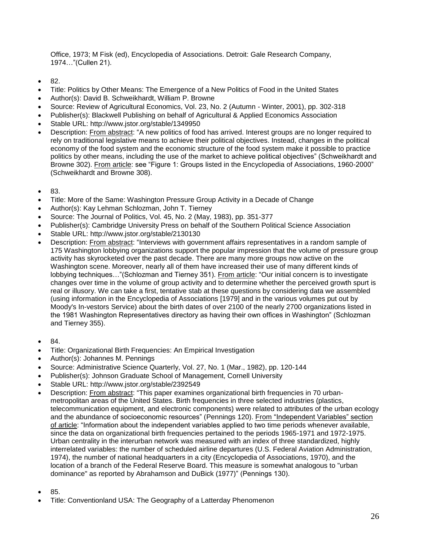Office, 1973; M Fisk (ed), Encyclopedia of Associations. Detroit: Gale Research Company, 1974…"(Cullen 21).

- 82.
- Title: Politics by Other Means: The Emergence of a New Politics of Food in the United States
- Author(s): David B. Schweikhardt, William P. Browne
- Source: Review of Agricultural Economics, Vol. 23, No. 2 (Autumn Winter, 2001), pp. 302-318
- Publisher(s): Blackwell Publishing on behalf of Agricultural & Applied Economics Association
- Stable URL: http://www.jstor.org/stable/1349950
- Description: From abstract: "A new politics of food has arrived. Interest groups are no longer required to rely on traditional legislative means to achieve their political objectives. Instead, changes in the political economy of the food system and the economic structure of the food system make it possible to practice politics by other means, including the use of the market to achieve political objectives" (Schweikhardt and Browne 302). From article: see "Figure 1: Groups listed in the Encyclopedia of Associations, 1960-2000" (Schweikhardt and Browne 308).
- 83.
- Title: More of the Same: Washington Pressure Group Activity in a Decade of Change
- Author(s): Kay Lehman Schlozman, John T. Tierney
- Source: The Journal of Politics, Vol. 45, No. 2 (May, 1983), pp. 351-377
- Publisher(s): Cambridge University Press on behalf of the Southern Political Science Association
- Stable URL: http://www.jstor.org/stable/2130130
- Description: From abstract: "Interviews with government affairs representatives in a random sample of 175 Washington lobbying organizations support the popular impression that the volume of pressure group activity has skyrocketed over the past decade. There are many more groups now active on the Washington scene. Moreover, nearly all of them have increased their use of many different kinds of lobbying techniques..."(Schlozman and Tierney 351). From article: "Our initial concern is to investigate changes over time in the volume of group activity and to determine whether the perceived growth spurt is real or illusory. We can take a first, tentative stab at these questions by considering data we assembled (using information in the Encyclopedia of Associations [1979] and in the various volumes put out by Moody's In-vestors Service) about the birth dates of over 2100 of the nearly 2700 organizations listed in the 1981 Washington Representatives directory as having their own offices in Washington" (Schlozman and Tierney 355).
- 84.
- Title: Organizational Birth Frequencies: An Empirical Investigation
- Author(s): Johannes M. Pennings
- Source: Administrative Science Quarterly, Vol. 27, No. 1 (Mar., 1982), pp. 120-144
- Publisher(s): Johnson Graduate School of Management, Cornell University
- Stable URL: http://www.jstor.org/stable/2392549
- Description: From abstract: "This paper examines organizational birth frequencies in 70 urbanmetropolitan areas of the United States. Birth frequencies in three selected industries (plastics, telecommunication equipment, and electronic components) were related to attributes of the urban ecology and the abundance of socioeconomic resources" (Pennings 120). From "Independent Variables" section of article: "Information about the independent variables applied to two time periods whenever available, since the data on organizational birth frequencies pertained to the periods 1965-1971 and 1972-1975. Urban centrality in the interurban network was measured with an index of three standardized, highly interrelated variables: the number of scheduled airline departures (U.S. Federal Aviation Administration, 1974), the number of national headquarters in a city (Encyclopedia of Associations, 1970), and the location of a branch of the Federal Reserve Board. This measure is somewhat analogous to "urban dominance" as reported by Abrahamson and DuBick (1977)" (Pennings 130).
- 85.
- Title: Conventionland USA: The Geography of a Latterday Phenomenon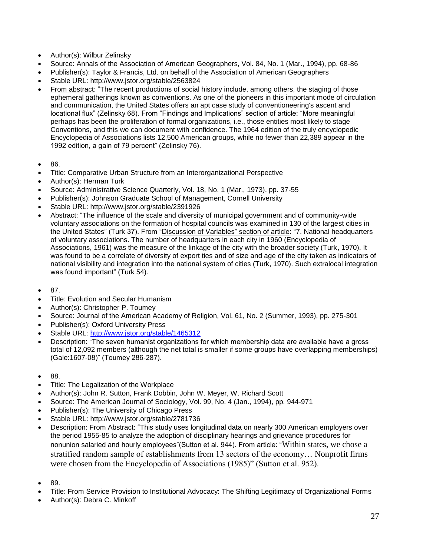- Author(s): Wilbur Zelinsky
- Source: Annals of the Association of American Geographers, Vol. 84, No. 1 (Mar., 1994), pp. 68-86
- Publisher(s): Taylor & Francis, Ltd. on behalf of the Association of American Geographers
- Stable URL: http://www.jstor.org/stable/2563824
- From abstract: "The recent productions of social history include, among others, the staging of those ephemeral gatherings known as conventions. As one of the pioneers in this important mode of circulation and communication, the United States offers an apt case study of conventioneering's ascent and locational flux" (Zelinsky 68). From "Findings and Implications" section of article: "More meaningful perhaps has been the proliferation of formal organizations, i.e., those entities most likely to stage Conventions, and this we can document with confidence. The 1964 edition of the truly encyclopedic Encyclopedia of Associations lists 12,500 American groups, while no fewer than 22,389 appear in the 1992 edition, a gain of 79 percent" (Zelinsky 76).
- 86.
- Title: Comparative Urban Structure from an Interorganizational Perspective
- Author(s): Herman Turk
- Source: Administrative Science Quarterly, Vol. 18, No. 1 (Mar., 1973), pp. 37-55
- Publisher(s): Johnson Graduate School of Management, Cornell University
- Stable URL: http://www.jstor.org/stable/2391926
- Abstract: "The influence of the scale and diversity of municipal government and of community-wide voluntary associations on the formation of hospital councils was examined in 130 of the largest cities in the United States" (Turk 37). From "Discussion of Variables" section of article: "7. National headquarters of voluntary associations. The number of headquarters in each city in 1960 (Encyclopedia of Associations, 1961) was the measure of the linkage of the city with the broader society (Turk, 1970). It was found to be a correlate of diversity of export ties and of size and age of the city taken as indicators of national visibility and integration into the national system of cities (Turk, 1970). Such extralocal integration was found important" (Turk 54).
- 87.
- Title: Evolution and Secular Humanism
- Author(s): Christopher P. Toumey
- Source: Journal of the American Academy of Religion, Vol. 61, No. 2 (Summer, 1993), pp. 275-301
- Publisher(s): Oxford University Press
- Stable URL:<http://www.jstor.org/stable/1465312>
- Description: "The seven humanist organizations for which membership data are available have a gross total of 12,092 members (although the net total is smaller if some groups have overlapping memberships) (Gale:1607-08)" (Toumey 286-287).
- 88.
- Title: The Legalization of the Workplace
- Author(s): John R. Sutton, Frank Dobbin, John W. Meyer, W. Richard Scott
- Source: The American Journal of Sociology, Vol. 99, No. 4 (Jan., 1994), pp. 944-971
- Publisher(s): The University of Chicago Press
- Stable URL: http://www.jstor.org/stable/2781736
- Description: From Abstract: "This study uses longitudinal data on nearly 300 American employers over the period 1955-85 to analyze the adoption of disciplinary hearings and grievance procedures for nonunion salaried and hourly employees"(Sutton et al. 944). From article: "Within states, we chose a stratified random sample of establishments from 13 sectors of the economy… Nonprofit firms were chosen from the Encyclopedia of Associations (1985)" (Sutton et al. 952).
- 89.
- Title: From Service Provision to Institutional Advocacy: The Shifting Legitimacy of Organizational Forms
- Author(s): Debra C. Minkoff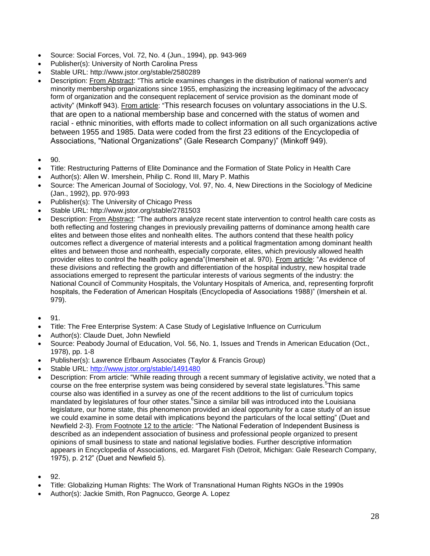- Source: Social Forces, Vol. 72, No. 4 (Jun., 1994), pp. 943-969
- Publisher(s): University of North Carolina Press
- Stable URL: http://www.jstor.org/stable/2580289
- Description: From Abstract: "This article examines changes in the distribution of national women's and minority membership organizations since 1955, emphasizing the increasing legitimacy of the advocacy form of organization and the consequent replacement of service provision as the dominant mode of activity" (Minkoff 943). From article: "This research focuses on voluntary associations in the U.S. that are open to a national membership base and concerned with the status of women and racial - ethnic minorities, with efforts made to collect information on all such organizations active between 1955 and 1985. Data were coded from the first 23 editions of the Encyclopedia of Associations, "National Organizations" (Gale Research Company)" (Minkoff 949).
- 90.
- Title: Restructuring Patterns of Elite Dominance and the Formation of State Policy in Health Care
- Author(s): Allen W. Imershein, Philip C. Rond III, Mary P. Mathis
- Source: The American Journal of Sociology, Vol. 97, No. 4, New Directions in the Sociology of Medicine (Jan., 1992), pp. 970-993
- Publisher(s): The University of Chicago Press
- Stable URL: http://www.jstor.org/stable/2781503
- Description: From Abstract: "The authors analyze recent state intervention to control health care costs as both reflecting and fostering changes in previously prevailing patterns of dominance among health care elites and between those elites and nonhealth elites. The authors contend that these health policy outcomes reflect a divergence of material interests and a political fragmentation among dominant health elites and between those and nonhealth, especially corporate, elites, which previously allowed health provider elites to control the health policy agenda"(Imershein et al. 970). From article: "As evidence of these divisions and reflecting the growth and differentiation of the hospital industry, new hospital trade associations emerged to represent the particular interests of various segments of the industry: the National Council of Community Hospitals, the Voluntary Hospitals of America, and, representing forprofit hospitals, the Federation of American Hospitals (Encyclopedia of Associations 1988)" (Imershein et al. 979).
- 91.
- Title: The Free Enterprise System: A Case Study of Legislative Influence on Curriculum
- Author(s): Claude Duet, John Newfield
- Source: Peabody Journal of Education, Vol. 56, No. 1, Issues and Trends in American Education (Oct., 1978), pp. 1-8
- Publisher(s): Lawrence Erlbaum Associates (Taylor & Francis Group)
- Stable URL:<http://www.jstor.org/stable/1491480>
- Description: From article: "While reading through a recent summary of legislative activity, we noted that a course on the free enterprise system was being considered by several state legislatures.<sup>5</sup> This same course also was identified in a survey as one of the recent additions to the list of curriculum topics mandated by legislatures of four other states.<sup>6</sup>Since a similar bill was introduced into the Louisiana legislature, our home state, this phenomenon provided an ideal opportunity for a case study of an issue we could examine in some detail with implications beyond the particulars of the local setting" (Duet and Newfield 2-3). From Footnote 12 to the article: "The National Federation of Independent Business is described as an independent association of business and professional people organized to present opinions of small business to state and national legislative bodies. Further descriptive information appears in Encyclopedia of Associations, ed. Margaret Fish (Detroit, Michigan: Gale Research Company, 1975), p. 212" (Duet and Newfield 5).
- 92.
- Title: Globalizing Human Rights: The Work of Transnational Human Rights NGOs in the 1990s
- Author(s): Jackie Smith, Ron Pagnucco, George A. Lopez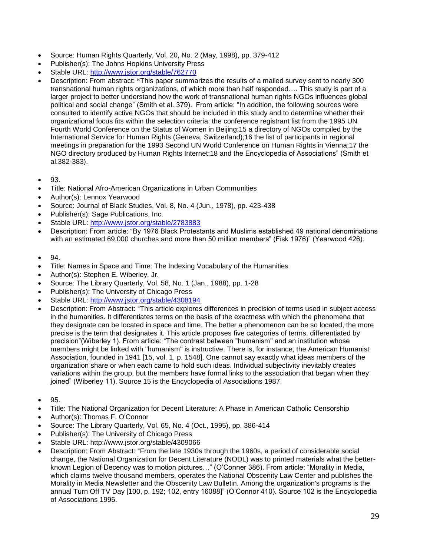- Source: Human Rights Quarterly, Vol. 20, No. 2 (May, 1998), pp. 379-412
- Publisher(s): The Johns Hopkins University Press
- Stable URL:<http://www.jstor.org/stable/762770>
- Description: From abstract: **"**This paper summarizes the results of a mailed survey sent to nearly 300 transnational human rights organizations, of which more than half responded…. This study is part of a larger project to better understand how the work of transnational human rights NGOs influences global political and social change" (Smith et al. 379). From article: "In addition, the following sources were consulted to identify active NGOs that should be included in this study and to determine whether their organizational focus fits within the selection criteria: the conference registrant list from the 1995 UN Fourth World Conference on the Status of Women in Beijing;15 a directory of NGOs compiled by the International Service for Human Rights (Geneva, Switzerland);16 the list of participants in regional meetings in preparation for the 1993 Second UN World Conference on Human Rights in Vienna;17 the NGO directory produced by Human Rights Internet;18 and the Encyclopedia of Associations" (Smith et al.382-383).
- 93.
- Title: National Afro-American Organizations in Urban Communities
- Author(s): Lennox Yearwood
- Source: Journal of Black Studies, Vol. 8, No. 4 (Jun., 1978), pp. 423-438
- Publisher(s): Sage Publications, Inc.
- Stable URL:<http://www.jstor.org/stable/2783883>
- Description: From article: "By 1976 Black Protestants and Muslims established 49 national denominations with an estimated 69,000 churches and more than 50 million members" (Fisk 1976)" (Yearwood 426).
- $94.$
- Title: Names in Space and Time: The Indexing Vocabulary of the Humanities
- Author(s): Stephen E. Wiberley, Jr.
- Source: The Library Quarterly, Vol. 58, No. 1 (Jan., 1988), pp. 1-28
- Publisher(s): The University of Chicago Press
- Stable URL:<http://www.jstor.org/stable/4308194>
- Description: From Abstract: "This article explores differences in precision of terms used in subject access in the humanities. It differentiates terms on the basis of the exactness with which the phenomena that they designate can be located in space and time. The better a phenomenon can be so located, the more precise is the term that designates it. This article proposes five categories of terms, differentiated by precision"(Wiberley 1). From article: "The contrast between "humanism" and an institution whose members might be linked with "humanism" is instructive. There is, for instance, the American Humanist Association, founded in 1941 [15, vol. 1, p. 1548]. One cannot say exactly what ideas members of the organization share or when each came to hold such ideas. Individual subjectivity inevitably creates variations within the group, but the members have formal links to the association that began when they joined" (Wiberley 11). Source 15 is the Encyclopedia of Associations 1987.
- 95.
- Title: The National Organization for Decent Literature: A Phase in American Catholic Censorship
- Author(s): Thomas F. O'Connor
- Source: The Library Quarterly, Vol. 65, No. 4 (Oct., 1995), pp. 386-414
- Publisher(s): The University of Chicago Press
- Stable URL: http://www.jstor.org/stable/4309066
- Description: From Abstract: "From the late 1930s through the 1960s, a period of considerable social change, the National Organization for Decent Literature (NODL) was to printed materials what the betterknown Legion of Decency was to motion pictures…" (O'Conner 386). From article: "Morality in Media, which claims twelve thousand members, operates the National Obscenity Law Center and publishes the Morality in Media Newsletter and the Obscenity Law Bulletin. Among the organization's programs is the annual Turn Off TV Day [100, p. 192; 102, entry 16088]" (O'Connor 410). Source 102 is the Encyclopedia of Associations 1995.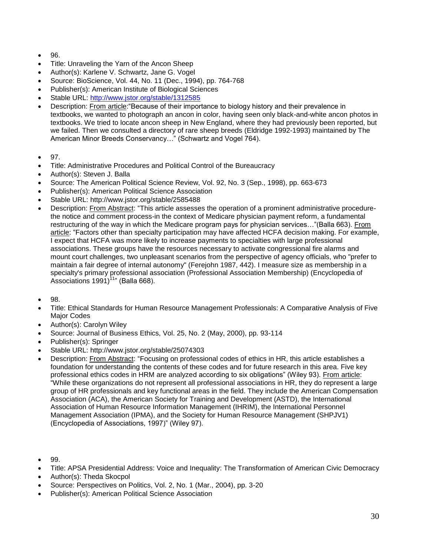- $96.$
- Title: Unraveling the Yarn of the Ancon Sheep
- Author(s): Karlene V. Schwartz, Jane G. Vogel
- Source: BioScience, Vol. 44, No. 11 (Dec., 1994), pp. 764-768
- Publisher(s): American Institute of Biological Sciences
- Stable URL:<http://www.jstor.org/stable/1312585>
- Description: From article:"Because of their importance to biology history and their prevalence in textbooks, we wanted to photograph an ancon in color, having seen only black-and-white ancon photos in textbooks. We tried to locate ancon sheep in New England, where they had previously been reported, but we failed. Then we consulted a directory of rare sheep breeds (Eldridge 1992-1993) maintained by The American Minor Breeds Conservancy…" (Schwartz and Vogel 764).
- 97.
- Title: Administrative Procedures and Political Control of the Bureaucracy
- Author(s): Steven J. Balla
- Source: The American Political Science Review, Vol. 92, No. 3 (Sep., 1998), pp. 663-673
- Publisher(s): American Political Science Association
- Stable URL: http://www.jstor.org/stable/2585488
- Description: From Abstract: "This article assesses the operation of a prominent administrative procedurethe notice and comment process-in the context of Medicare physician payment reform, a fundamental restructuring of the way in which the Medicare program pays for physician services…"(Balla 663). From article: "Factors other than specialty participation may have affected HCFA decision making. For example, I expect that HCFA was more likely to increase payments to specialties with large professional associations. These groups have the resources necessary to activate congressional fire alarms and mount court challenges, two unpleasant scenarios from the perspective of agency officials, who "prefer to maintain a fair degree of internal autonomy" (Ferejohn 1987, 442). I measure size as membership in a specialty's primary professional association (Professional Association Membership) (Encyclopedia of Associations  $1991$ <sup>11</sup>" (Balla 668).
- 98.
- Title: Ethical Standards for Human Resource Management Professionals: A Comparative Analysis of Five Major Codes
- Author(s): Carolyn Wiley
- Source: Journal of Business Ethics, Vol. 25, No. 2 (May, 2000), pp. 93-114
- Publisher(s): Springer
- Stable URL: http://www.jstor.org/stable/25074303
- Description: From Abstract: "Focusing on professional codes of ethics in HR, this article establishes a foundation for understanding the contents of these codes and for future research in this area. Five key professional ethics codes in HRM are analyzed according to six obligations" (Wiley 93). From article: "While these organizations do not represent all professional associations in HR, they do represent a large group of HR professionals and key functional areas in the field. They include the American Compensation Association (ACA), the American Society for Training and Development (ASTD), the International Association of Human Resource Information Management (IHRIM), the International Personnel Management Association (IPMA), and the Society for Human Resource Management (SHPJV1) (Encyclopedia of Associations, 1997)" (Wiley 97).
- 99.
- Title: APSA Presidential Address: Voice and Inequality: The Transformation of American Civic Democracy
- Author(s): Theda Skocpol
- Source: Perspectives on Politics, Vol. 2, No. 1 (Mar., 2004), pp. 3-20
- Publisher(s): American Political Science Association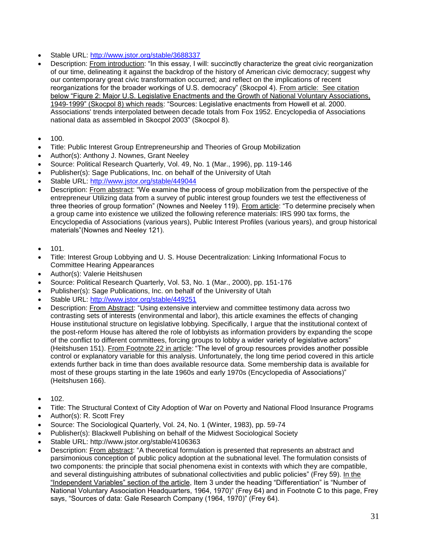- Stable URL:<http://www.jstor.org/stable/3688337>
- Description: From introduction: "In this essay, I will: succinctly characterize the great civic reorganization of our time, delineating it against the backdrop of the history of American civic democracy; suggest why our contemporary great civic transformation occurred; and reflect on the implications of recent reorganizations for the broader workings of U.S. democracy" (Skocpol 4). From article: See citation below "Figure 2: Major U.S. Legislative Enactments and the Growth of National Voluntary Associations, 1949-1999" (Skocpol 8) which reads: "Sources: Legislative enactments from Howell et al. 2000. Associations' trends interpolated between decade totals from Fox 1952. Encyclopedia of Associations national data as assembled in Skocpol 2003" (Skocpol 8).
- $100.$
- Title: Public Interest Group Entrepreneurship and Theories of Group Mobilization
- Author(s): Anthony J. Nownes, Grant Neeley
- Source: Political Research Quarterly, Vol. 49, No. 1 (Mar., 1996), pp. 119-146
- Publisher(s): Sage Publications, Inc. on behalf of the University of Utah
- Stable URL:<http://www.jstor.org/stable/449044>
- Description: From abstract: "We examine the process of group mobilization from the perspective of the entrepreneur Utilizing data from a survey of public interest group founders we test the effectiveness of three theories of group formation" (Nownes and Neeley 119). From article: "To determine precisely when a group came into existence we utilized the following reference materials: IRS 990 tax forms, the Encyclopedia of Associations (various years), Public Interest Profiles (various years), and group historical materials"(Nownes and Neeley 121).
- $101.$
- Title: Interest Group Lobbying and U. S. House Decentralization: Linking Informational Focus to Committee Hearing Appearances
- Author(s): Valerie Heitshusen
- Source: Political Research Quarterly, Vol. 53, No. 1 (Mar., 2000), pp. 151-176
- Publisher(s): Sage Publications, Inc. on behalf of the University of Utah
- Stable URL:<http://www.jstor.org/stable/449251>
- Description: From Abstract: "Using extensive interview and committee testimony data across two contrasting sets of interests (environmental and labor), this article examines the effects of changing House institutional structure on legislative lobbying. Specifically, I argue that the institutional context of the post-reform House has altered the role of lobbyists as information providers by expanding the scope of the conflict to different committees, forcing groups to lobby a wider variety of legislative actors" (Heitshusen 151). From Footnote 22 in article: "The level of group resources provides another possible control or explanatory variable for this analysis. Unfortunately, the long time period covered in this article extends further back in time than does available resource data. Some membership data is available for most of these groups starting in the late 1960s and early 1970s (Encyclopedia of Associations)" (Heitshusen 166).
- $102.$
- Title: The Structural Context of City Adoption of War on Poverty and National Flood Insurance Programs
- Author(s): R. Scott Frey
- Source: The Sociological Quarterly, Vol. 24, No. 1 (Winter, 1983), pp. 59-74
- Publisher(s): Blackwell Publishing on behalf of the Midwest Sociological Society
- Stable URL: http://www.jstor.org/stable/4106363
- Description: From abstract: "A theoretical formulation is presented that represents an abstract and parsimonious conception of public policy adoption at the subnational level. The formulation consists of two components: the principle that social phenomena exist in contexts with which they are compatible, and several distinguishing attributes of subnational collectivities and public policies" (Frey 59). In the "Independent Variables" section of the article, Item 3 under the heading "Differentiation" is "Number of National Voluntary Association Headquarters, 1964, 1970)" (Frey 64) and in Footnote C to this page, Frey says, "Sources of data: Gale Research Company (1964, 1970)" (Frey 64).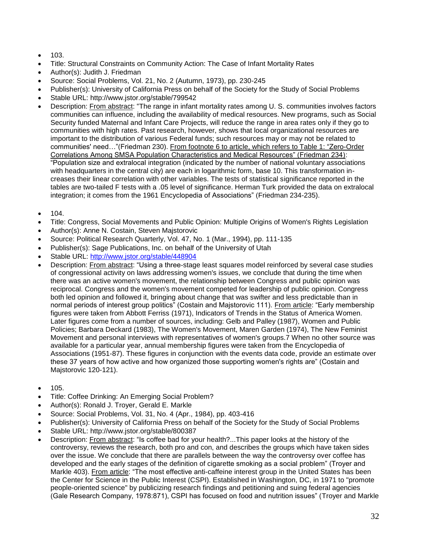- $103.$
- Title: Structural Constraints on Community Action: The Case of Infant Mortality Rates
- Author(s): Judith J. Friedman
- Source: Social Problems, Vol. 21, No. 2 (Autumn, 1973), pp. 230-245
- Publisher(s): University of California Press on behalf of the Society for the Study of Social Problems
- Stable URL: http://www.jstor.org/stable/799542
- Description: From abstract: "The range in infant mortality rates among U. S. communities involves factors communities can influence, including the availability of medical resources. New programs, such as Social Security funded Maternal and Infant Care Projects, will reduce the range in area rates only if they go to communities with high rates. Past research, however, shows that local organizational resources are important to the distribution of various Federal funds; such resources may or may not be related to communities' need…"(Friedman 230). From footnote 6 to article, which refers to Table 1: "Zero-Order Correlations Among SMSA Population Characteristics and Medical Resources" (Friedman 234): "Population size and extralocal integration (indicated by the number of national voluntary associations with headquarters in the central city) are each in logarithmic form, base 10. This transformation increases their linear correlation with other variables. The tests of statistical significance reported in the tables are two-tailed F tests with a .05 level of significance. Herman Turk provided the data on extralocal integration; it comes from the 1961 Encyclopedia of Associations" (Friedman 234-235).
- $104.$
- Title: Congress, Social Movements and Public Opinion: Multiple Origins of Women's Rights Legislation
- Author(s): Anne N. Costain, Steven Majstorovic
- Source: Political Research Quarterly, Vol. 47, No. 1 (Mar., 1994), pp. 111-135
- Publisher(s): Sage Publications, Inc. on behalf of the University of Utah
- Stable URL:<http://www.jstor.org/stable/448904>
- Description: From abstract: "Using a three-stage least squares model reinforced by several case studies of congressional activity on laws addressing women's issues, we conclude that during the time when there was an active women's movement, the relationship between Congress and public opinion was reciprocal. Congress and the women's movement competed for leadership of public opinion. Congress both led opinion and followed it, bringing about change that was swifter and less predictable than in normal periods of interest group politics" (Costain and Majstorovic 111). From article: "Early membership figures were taken from Abbott Ferriss (1971), Indicators of Trends in the Status of America Women. Later figures come from a number of sources, including: Gelb and Palley (1987), Women and Public Policies; Barbara Deckard (1983), The Women's Movement, Maren Garden (1974), The New Feminist Movement and personal interviews with representatives of women's groups.7 When no other source was available for a particular year, annual membership figures were taken from the Encyclopedia of Associations (1951-87). These figures in conjunction with the events data code, provide an estimate over these 37 years of how active and how organized those supporting women's rights are" (Costain and Majstorovic 120-121).
- $105.$
- Title: Coffee Drinking: An Emerging Social Problem?
- Author(s): Ronald J. Troyer, Gerald E. Markle
- Source: Social Problems, Vol. 31, No. 4 (Apr., 1984), pp. 403-416
- Publisher(s): University of California Press on behalf of the Society for the Study of Social Problems
- Stable URL: http://www.jstor.org/stable/800387
- Description: From abstract: "Is coffee bad for your health?...This paper looks at the history of the controversy, reviews the research, both pro and con, and describes the groups which have taken sides over the issue. We conclude that there are parallels between the way the controversy over coffee has developed and the early stages of the definition of cigarette smoking as a social problem" (Troyer and Markle 403). From article: "The most effective anti-caffeine interest group in the United States has been the Center for Science in the Public Interest (CSPI). Established in Washington, DC, in 1971 to "promote people-oriented science" by publicizing research findings and petitioning and suing federal agencies (Gale Research Company, 1978:871), CSPI has focused on food and nutrition issues" (Troyer and Markle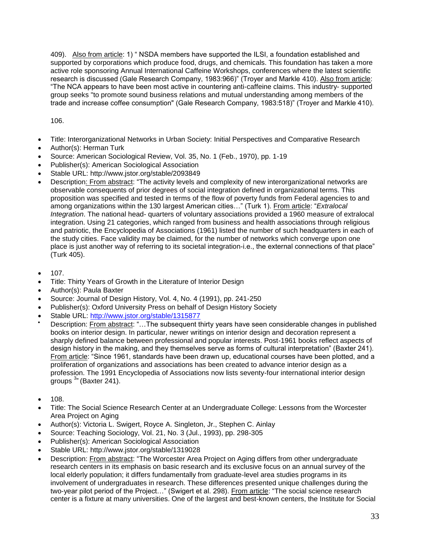409). Also from article: 1) " NSDA members have supported the ILSI, a foundation established and supported by corporations which produce food, drugs, and chemicals. This foundation has taken a more active role sponsoring Annual International Caffeine Workshops, conferences where the latest scientific research is discussed (Gale Research Company, 1983:966)" (Troyer and Markle 410). Also from article: "The NCA appears to have been most active in countering anti-caffeine claims. This industry- supported group seeks "to promote sound business relations and mutual understanding among members of the trade and increase coffee consumption" (Gale Research Company, 1983:518)" (Troyer and Markle 410).

106.

- Title: Interorganizational Networks in Urban Society: Initial Perspectives and Comparative Research
- Author(s): Herman Turk
- Source: American Sociological Review, Vol. 35, No. 1 (Feb., 1970), pp. 1-19
- Publisher(s): American Sociological Association
- Stable URL: http://www.jstor.org/stable/2093849
- Description: From abstract: "The activity levels and complexity of new interorganizational networks are observable consequents of prior degrees of social integration defined in organizational terms. This proposition was specified and tested in terms of the flow of poverty funds from Federal agencies to and among organizations within the 130 largest American cities…" (Turk 1). From article: "*Extralocal Integration*. The national head- quarters of voluntary associations provided a 1960 measure of extralocal integration. Using 21 categories, which ranged from business and health associations through religious and patriotic, the Encyclopedia of Associations (1961) listed the number of such headquarters in each of the study cities. Face validity may be claimed, for the number of networks which converge upon one place is just another way of referring to its societal integration-i.e., the external connections of that place" (Turk 405).
- $107$
- Title: Thirty Years of Growth in the Literature of Interior Design
- Author(s): Paula Baxter
- Source: Journal of Design History, Vol. 4, No. 4 (1991), pp. 241-250
- Publisher(s): Oxford University Press on behalf of Design History Society
- Stable URL:<http://www.jstor.org/stable/1315877>
- Description: From abstract: "…The subsequent thirty years have seen considerable changes in published books on interior design. In particular, newer writings on interior design and decoration represent a sharply defined balance between professional and popular interests. Post-1961 books reflect aspects of design history in the making, and they themselves serve as forms of cultural interpretation" (Baxter 241). From article: "Since 1961, standards have been drawn up, educational courses have been plotted, and a proliferation of organizations and associations has been created to advance interior design as a profession. The 1991 Encyclopedia of Associations now lists seventy-four international interior design .<br>groups <sup>3</sup>" (Baxter 241).
- $108.$
- Title: The Social Science Research Center at an Undergraduate College: Lessons from the Worcester Area Project on Aging
- Author(s): Victoria L. Swigert, Royce A. Singleton, Jr., Stephen C. Ainlay
- Source: Teaching Sociology, Vol. 21, No. 3 (Jul., 1993), pp. 298-305
- Publisher(s): American Sociological Association
- Stable URL: http://www.jstor.org/stable/1319028
- Description: From abstract: "The Worcester Area Project on Aging differs from other undergraduate research centers in its emphasis on basic research and its exclusive focus on an annual survey of the local elderly population; it differs fundamentally from graduate-level area studies programs in its involvement of undergraduates in research. These differences presented unique challenges during the two-year pilot period of the Project…" (Swigert et al. 298). From article: "The social science research center is a fixture at many universities. One of the largest and best-known centers, the Institute for Social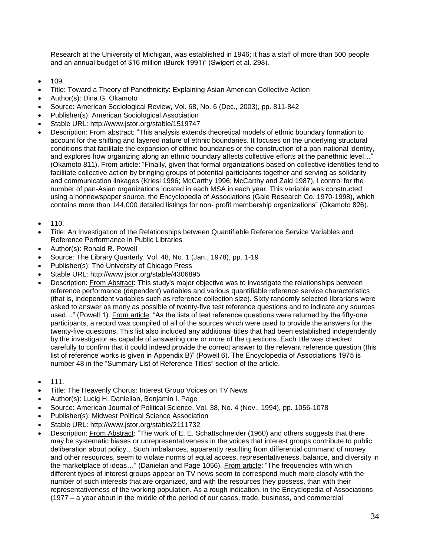Research at the University of Michigan, was established in 1946; it has a staff of more than 500 people and an annual budget of \$16 million (Burek 1991)" (Swigert et al. 298).

- 109.
- Title: Toward a Theory of Panethnicity: Explaining Asian American Collective Action
- Author(s): Dina G. Okamoto
- Source: American Sociological Review, Vol. 68, No. 6 (Dec., 2003), pp. 811-842
- Publisher(s): American Sociological Association
- Stable URL: http://www.jstor.org/stable/1519747
- Description: From abstract: "This analysis extends theoretical models of ethnic boundary formation to account for the shifting and layered nature of ethnic boundaries. It focuses on the underlying structural conditions that facilitate the expansion of ethnic boundaries or the construction of a pan-national identity, and explores how organizing along an ethnic boundary affects collective efforts at the panethnic level…" (Okamoto 811). From article: "Finally, given that formal organizations based on collective identities tend to facilitate collective action by bringing groups of potential participants together and serving as solidarity and communication linkages (Kriesi 1996; McCarthy 1996; McCarthy and Zald 1987), I control for the number of pan-Asian organizations located in each MSA in each year. This variable was constructed using a nonnewspaper source, the Encyclopedia of Associations (Gale Research Co. 1970-1998), which contains more than 144,000 detailed listings for non- profit membership organizations" (Okamoto 826).
- 110.
- Title: An Investigation of the Relationships between Quantifiable Reference Service Variables and Reference Performance in Public Libraries
- Author(s): Ronald R. Powell
- Source: The Library Quarterly, Vol. 48, No. 1 (Jan., 1978), pp. 1-19
- Publisher(s): The University of Chicago Press
- Stable URL: http://www.jstor.org/stable/4306895
- Description: From Abstract: This study's major objective was to investigate the relationships between reference performance (dependent) variables and various quantifiable reference service characteristics (that is, independent variables such as reference collection size). Sixty randomly selected librarians were asked to answer as many as possible of twenty-five test reference questions and to indicate any sources used…" (Powell 1). From article: "As the lists of test reference questions were returned by the fifty-one participants, a record was compiled of all of the sources which were used to provide the answers for the twenty-five questions. This list also included any additional titles that had been established independently by the investigator as capable of answering one or more of the questions. Each title was checked carefully to confirm that it could indeed provide the correct answer to the relevant reference question (this list of reference works is given in Appendix B)" (Powell 6). The Encyclopedia of Associations 1975 is number 48 in the "Summary List of Reference Titles" section of the article.
- 111.
- Title: The Heavenly Chorus: Interest Group Voices on TV News
- Author(s): Lucig H. Danielian, Benjamin I. Page
- Source: American Journal of Political Science, Vol. 38, No. 4 (Nov., 1994), pp. 1056-1078
- Publisher(s): Midwest Political Science Association
- Stable URL: http://www.jstor.org/stable/2111732
- Description: From Abstract: "The work of E. E. Schattschneider (1960) and others suggests that there may be systematic biases or unrepresentativeness in the voices that interest groups contribute to public deliberation about policy…Such imbalances, apparently resulting from differential command of money and other resources, seem to violate norms of equal access, representativeness, balance, and diversity in the marketplace of ideas…" (Danielan and Page 1056). From article: "The frequencies with which different types of interest groups appear on TV news seem to correspond much more closely with the number of such interests that are organized, and with the resources they possess, than with their representativeness of the working population. As a rough indication, in the Encyclopedia of Associations (1977 – a year about in the middle of the period of our cases, trade, business, and commercial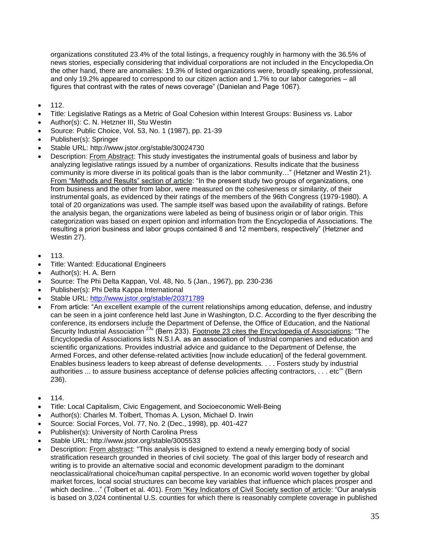organizations constituted 23.4% of the total listings, a frequency roughly in harmony with the 36.5% of news stories, especially considering that individual corporations are not included in the Encyclopedia.On the other hand, there are anomalies: 19.3% of listed organizations were, broadly speaking, professional, and only 19.2% appeared to correspond to our citizen action and 1.7% to our labor categories – all figures that contrast with the rates of news coverage" (Danielan and Page 1067).

- 112.
- Title: Legislative Ratings as a Metric of Goal Cohesion within Interest Groups: Business vs. Labor
- Author(s): C. N. Hetzner III, Stu Westin
- Source: Public Choice, Vol. 53, No. 1 (1987), pp. 21-39
- Publisher(s): Springer
- Stable URL: http://www.jstor.org/stable/30024730
- Description: From Abstract: This study investigates the instrumental goals of business and labor by analyzing legislative ratings issued by a number of organizations. Results indicate that the business community is more diverse in its political goals than is the labor community…" (Hetzner and Westin 21). From "Methods and Results" section of article: "In the present study two groups of organizations, one from business and the other from labor, were measured on the cohesiveness or similarity, of their instrumental goals, as evidenced by their ratings of the members of the 96th Congress (1979-1980). A total of 20 organizations was used. The sample itself was based upon the availability of ratings. Before the analysis began, the organizations were labeled as being of business origin or of labor origin. This categorization was based on expert opinion and information from the Encyclopedia of Associations. The resulting a priori business and labor groups contained 8 and 12 members, respectively" (Hetzner and Westin 27).
- 113.
- Title: Wanted: Educational Engineers
- Author(s): H. A. Bern
- Source: The Phi Delta Kappan, Vol. 48, No. 5 (Jan., 1967), pp. 230-236
- Publisher(s): Phi Delta Kappa International
- Stable URL:<http://www.jstor.org/stable/20371789>
- From article: "An excellent example of the current relationships among education, defense, and industry can be seen in a joint conference held last June in Washington, D.C. According to the flyer describing the conference, its endorsers include the Department of Defense, the Office of Education, and the National Security Industrial Association <sup>23</sup><sup>"</sup> (Bern 233). Footnote 23 cites the Encyclopedia of Associations: "The Encyclopedia of Associations lists N.S.I.A. as an association of 'industrial companies and education and scientific organizations. Provides industrial advice and guidance to the Department of Defense, the Armed Forces, and other defense-related activities [now include education] of the federal government. Enables business leaders to keep abreast of defense developments. . . . Fosters study by industrial authorities ... to assure business acceptance of defense policies affecting contractors, . . . etc'" (Bern 236).
- 114.
- Title: Local Capitalism, Civic Engagement, and Socioeconomic Well-Being
- Author(s): Charles M. Tolbert, Thomas A. Lyson, Michael D. Irwin
- Source: Social Forces, Vol. 77, No. 2 (Dec., 1998), pp. 401-427
- Publisher(s): University of North Carolina Press
- Stable URL: http://www.jstor.org/stable/3005533
- Description: From abstract: "This analysis is designed to extend a newly emerging body of social stratification research grounded in theories of civil society. The goal of this larger body of research and writing is to provide an alternative social and economic development paradigm to the dominant neoclassical/rational choice/human capital perspective. In an economic world woven together by global market forces, local social structures can become key variables that influence which places prosper and which decline..." (Tolbert et al. 401). From "Key Indicators of Civil Society section of article: "Our analysis is based on 3,024 continental U.S. counties for which there is reasonably complete coverage in published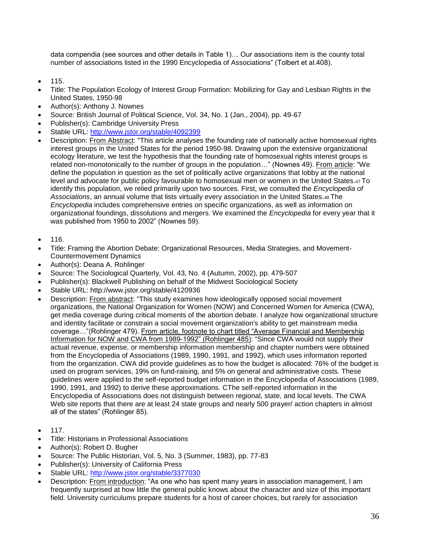data compendia (see sources and other details in Table 1)… Our associations item is the county total number of associations listed in the 1990 Encyclopedia of Associations" (Tolbert et al.408).

- 115.
- Title: The Population Ecology of Interest Group Formation: Mobilizing for Gay and Lesbian Rights in the United States, 1950-98
- Author(s): Anthony J. Nownes
- Source: British Journal of Political Science, Vol. 34, No. 1 (Jan., 2004), pp. 49-67
- Publisher(s): Cambridge University Press
- Stable URL:<http://www.jstor.org/stable/4092399>
- Description: From Abstract: "This article analyses the founding rate of nationally active homosexual rights interest groups in the United States for the period 1950-98. Drawing upon the extensive organizational ecology literature, we test the hypothesis that the founding rate of homosexual rights interest groups is related non-monotonically to the number of groups in the population…" (Nownes 49). From article: "We define the population in question as the set of politically active organizations that lobby at the national level and advocate for public policy favourable to homosexual men or women in the United States.47 To identify this population, we relied primarily upon two sources. First, we consulted the *Encyclopedia of Associations*, an annual volume that lists virtually every association in the United States.48 The *Encyclopedia* includes comprehensive entries on specific organizations, as well as information on organizational foundings, dissolutions and mergers. We examined the *Encyclopedia* for every year that it was published from 1950 to 2002" (Nownes 59).
- $116.$
- Title: Framing the Abortion Debate: Organizational Resources, Media Strategies, and Movement-Countermovement Dynamics
- Author(s): Deana A. Rohlinger
- Source: The Sociological Quarterly, Vol. 43, No. 4 (Autumn, 2002), pp. 479-507
- Publisher(s): Blackwell Publishing on behalf of the Midwest Sociological Society
- Stable URL: http://www.jstor.org/stable/4120936
- Description: From abstract: "This study examines how ideologically opposed social movement organizations, the National Organization for Women (NOW) and Concerned Women for America (CWA), get media coverage during critical moments of the abortion debate. I analyze how organizational structure and identity facilitate or constrain a social movement organization's ability to get mainstream media coverage…"(Rohlinger 479). From article, footnote to chart titled "Average Financial and Membership Information for NOW and CWA from 1989-1992" (Rohlinger 485): "Since CWA would not supply their actual revenue, expense, or membership information membership and chapter numbers were obtained from the Encyclopedia of Associations (1989, 1990, 1991, and 1992), which uses information reported from the organization. CWA did provide guidelines as to how the budget is allocated: 76% of the budget is used on program services, 19% on fund-raising, and 5% on general and administrative costs. These guidelines were applied to the self-reported budget information in the Encyclopedia of Associations (1989, 1990, 1991, and 1992) to derive these approximations. CThe self-reported information in the Encyclopedia of Associations does not distinguish between regional, state, and local levels. The CWA Web site reports that there are at least 24 state groups and nearly 500 prayer/ action chapters in almost all of the states" (Rohlinger 85).
- 117.
- Title: Historians in Professional Associations
- Author(s): Robert D. Bugher
- Source: The Public Historian, Vol. 5, No. 3 (Summer, 1983), pp. 77-83
- Publisher(s): University of California Press
- Stable URL:<http://www.jstor.org/stable/3377030>
- Description: From introduction: "As one who has spent many years in association management, I am frequently surprised at how little the general public knows about the character and size of this important field. University curriculums prepare students for a host of career choices, but rarely for association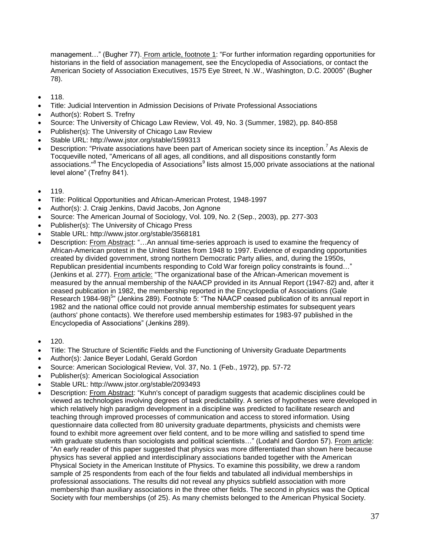management..." (Bugher 77). From article, footnote 1: "For further information regarding opportunities for historians in the field of association management, see the Encyclopedia of Associations, or contact the American Society of Association Executives, 1575 Eye Street, N .W., Washington, D.C. 20005" (Bugher 78).

- 118.
- Title: Judicial Intervention in Admission Decisions of Private Professional Associations
- Author(s): Robert S. Trefny
- Source: The University of Chicago Law Review, Vol. 49, No. 3 (Summer, 1982), pp. 840-858
- Publisher(s): The University of Chicago Law Review
- Stable URL: http://www.jstor.org/stable/1599313
- Description: "Private associations have been part of American society since its inception.<sup>7</sup> As Alexis de Tocqueville noted, "Americans of all ages, all conditions, and all dispositions constantly form associations."<sup>8</sup> The Encyclopedia of Associations<sup>9</sup> lists almost 15,000 private associations at the national level alone" (Trefny 841).
- $119.$
- Title: Political Opportunities and African-American Protest, 1948-1997
- Author(s): J. Craig Jenkins, David Jacobs, Jon Agnone
- Source: The American Journal of Sociology, Vol. 109, No. 2 (Sep., 2003), pp. 277-303
- Publisher(s): The University of Chicago Press
- Stable URL: http://www.jstor.org/stable/3568181
- Description: From Abstract: "…An annual time-series approach is used to examine the frequency of African-American protest in the United States from 1948 to 1997. Evidence of expanding opportunities created by divided government, strong northern Democratic Party allies, and, during the 1950s, Republican presidential incumbents responding to Cold War foreign policy constraints is found…" (Jenkins et al. 277). From article: "The organizational base of the African-American movement is measured by the annual membership of the NAACP provided in its Annual Report (1947-82) and, after it ceased publication in 1982, the membership reported in the Encyclopedia of Associations (Gale Research 1984-98)<sup>5</sup>" (Jenkins 289). Footnote 5: "The NAACP ceased publication of its annual report in 1982 and the national office could not provide annual membership estimates for subsequent years (authors' phone contacts). We therefore used membership estimates for 1983-97 published in the Encyclopedia of Associations" (Jenkins 289).
- 120.
- Title: The Structure of Scientific Fields and the Functioning of University Graduate Departments
- Author(s): Janice Beyer Lodahl, Gerald Gordon
- Source: American Sociological Review, Vol. 37, No. 1 (Feb., 1972), pp. 57-72
- Publisher(s): American Sociological Association
- Stable URL: http://www.jstor.org/stable/2093493
- Description: From Abstract: "Kuhn's concept of paradigm suggests that academic disciplines could be viewed as technologies involving degrees of task predictability. A series of hypotheses were developed in which relatively high paradigm development in a discipline was predicted to facilitate research and teaching through improved processes of communication and access to stored information. Using questionnaire data collected from 80 university graduate departments, physicists and chemists were found to exhibit more agreement over field content, and to be more willing and satisfied to spend time with graduate students than sociologists and political scientists..." (Lodahl and Gordon 57). From article: "An early reader of this paper suggested that physics was more differentiated than shown here because physics has several applied and interdisciplinary associations banded together with the American Physical Society in the American Institute of Physics. To examine this possibility, we drew a random sample of 25 respondents from each of the four fields and tabulated all individual memberships in professional associations. The results did not reveal any physics subfield association with more membership than auxiliary associations in the three other fields. The second in physics was the Optical Society with four memberships (of 25). As many chemists belonged to the American Physical Society.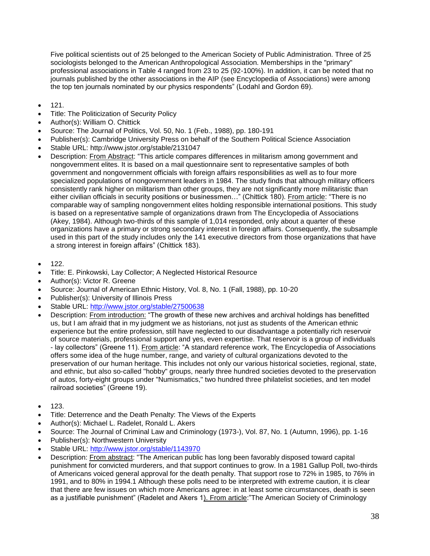Five political scientists out of 25 belonged to the American Society of Public Administration. Three of 25 sociologists belonged to the American Anthropological Association. Memberships in the "primary" professional associations in Table 4 ranged from 23 to 25 (92-100%). In addition, it can be noted that no journals published by the other associations in the AIP (see Encyclopedia of Associations) were among the top ten journals nominated by our physics respondents" (Lodahl and Gordon 69).

- 121.
- Title: The Politicization of Security Policy
- Author(s): William O. Chittick
- Source: The Journal of Politics, Vol. 50, No. 1 (Feb., 1988), pp. 180-191
- Publisher(s): Cambridge University Press on behalf of the Southern Political Science Association
- Stable URL: http://www.jstor.org/stable/2131047
- Description: From Abstract: "This article compares differences in militarism among government and nongovernment elites. It is based on a mail questionnaire sent to representative samples of both government and nongovernment officials with foreign affairs responsibilities as well as to four more specialized populations of nongovernment leaders in 1984. The study finds that although military officers consistently rank higher on militarism than other groups, they are not significantly more militaristic than either civilian officials in security positions or businessmen..." (Chittick 180). From article: "There is no comparable way of sampling nongovernment elites holding responsible international positions. This study is based on a representative sample of organizations drawn from The Encyclopedia of Associations (Akey, 1984). Although two-thirds of this sample of 1,014 responded, only about a quarter of these organizations have a primary or strong secondary interest in foreign affairs. Consequently, the subsample used in this part of the study includes only the 141 executive directors from those organizations that have a strong interest in foreign affairs" (Chittick 183).
- $\bullet$  122.
- Title: E. Pinkowski, Lay Collector; A Neglected Historical Resource
- Author(s): Victor R. Greene
- Source: Journal of American Ethnic History, Vol. 8, No. 1 (Fall, 1988), pp. 10-20
- Publisher(s): University of Illinois Press
- Stable URL:<http://www.jstor.org/stable/27500638>
- Description: From introduction: "The growth of these new archives and archival holdings has benefitted us, but I am afraid that in my judgment we as historians, not just as students of the American ethnic experience but the entire profession, still have neglected to our disadvantage a potentially rich reservoir of source materials, professional support and yes, even expertise. That reservoir is a group of individuals - lay collectors" (Greene 11). From article: "A standard reference work, The Encyclopedia of Associations offers some idea of the huge number, range, and variety of cultural organizations devoted to the preservation of our human heritage. This includes not only our various historical societies, regional, state, and ethnic, but also so-called "hobby" groups, nearly three hundred societies devoted to the preservation of autos, forty-eight groups under "Numismatics," two hundred three philatelist societies, and ten model railroad societies" (Greene 19).
- $123.$
- Title: Deterrence and the Death Penalty: The Views of the Experts
- Author(s): Michael L. Radelet, Ronald L. Akers
- Source: The Journal of Criminal Law and Criminology (1973-), Vol. 87, No. 1 (Autumn, 1996), pp. 1-16
- Publisher(s): Northwestern University
- Stable URL:<http://www.jstor.org/stable/1143970>
- Description: From abstract: "The American public has long been favorably disposed toward capital punishment for convicted murderers, and that support continues to grow. In a 1981 Gallup Poll, two-thirds of Americans voiced general approval for the death penalty. That support rose to 72% in 1985, to 76% in 1991, and to 80% in 1994.1 Although these polls need to be interpreted with extreme caution, it is clear that there are few issues on which more Americans agree: in at least some circumstances, death is seen as a justifiable punishment" (Radelet and Akers 1). From article: "The American Society of Criminology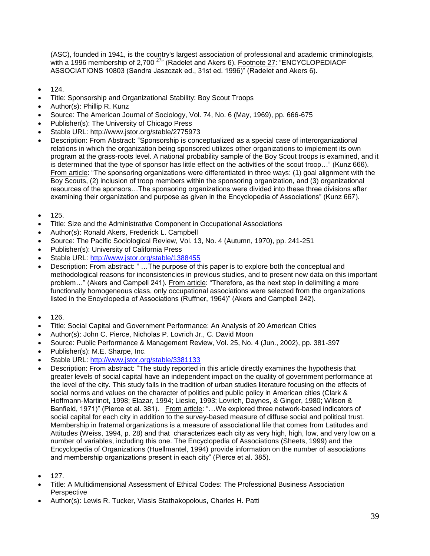(ASC), founded in 1941, is the country's largest association of professional and academic criminologists, with a 1996 membership of 2,700<sup>27</sup>" (Radelet and Akers 6). Footnote 27: "ENCYCLOPEDIAOF ASSOCIATIONS 10803 (Sandra Jaszczak ed., 31st ed. 1996)" (Radelet and Akers 6).

- 124.
- Title: Sponsorship and Organizational Stability: Boy Scout Troops
- Author(s): Phillip R. Kunz
- Source: The American Journal of Sociology, Vol. 74, No. 6 (May, 1969), pp. 666-675
- Publisher(s): The University of Chicago Press
- Stable URL: http://www.jstor.org/stable/2775973
- Description: From Abstract: "Sponsorship is conceptualized as a special case of interorganizational relations in which the organization being sponsored utilizes other organizations to implement its own program at the grass-roots level. A national probability sample of the Boy Scout troops is examined, and it is determined that the type of sponsor has little effect on the activities of the scout troop…" (Kunz 666). From article: "The sponsoring organizations were differentiated in three ways: (1) goal alignment with the Boy Scouts, (2) inclusion of troop members within the sponsoring organization, and (3) organizational resources of the sponsors…The sponsoring organizations were divided into these three divisions after examining their organization and purpose as given in the Encyclopedia of Associations" (Kunz 667).
- 125.
- Title: Size and the Administrative Component in Occupational Associations
- Author(s): Ronald Akers, Frederick L. Campbell
- Source: The Pacific Sociological Review, Vol. 13, No. 4 (Autumn, 1970), pp. 241-251
- Publisher(s): University of California Press
- Stable URL:<http://www.jstor.org/stable/1388455>
- Description: From abstract: " ...The purpose of this paper is to explore both the conceptual and methodological reasons for inconsistencies in previous studies, and to present new data on this important problem…" (Akers and Campell 241). From article: "Therefore, as the next step in delimiting a more functionally homogeneous class, only occupational associations were selected from the organizations listed in the Encyclopedia of Associations (Ruffner, 1964)" (Akers and Campbell 242).
- $126.$
- Title: Social Capital and Government Performance: An Analysis of 20 American Cities
- Author(s): John C. Pierce, Nicholas P. Lovrich Jr., C. David Moon
- Source: Public Performance & Management Review, Vol. 25, No. 4 (Jun., 2002), pp. 381-397
- Publisher(s): M.E. Sharpe, Inc.
- Stable URL:<http://www.jstor.org/stable/3381133>
- Description: From abstract: "The study reported in this article directly examines the hypothesis that greater levels of social capital have an independent impact on the quality of government performance at the level of the city. This study falls in the tradition of urban studies literature focusing on the effects of social norms and values on the character of politics and public policy in American cities (Clark & Hoffmann-Martinot, 1998; Elazar, 1994; Lieske, 1993; Lovrich, Daynes, & Ginger, 1980; Wilson & Banfield, 1971)" (Pierce et al. 381). From article: "...We explored three network-based indicators of social capital for each city in addition to the survey-based measure of diffuse social and political trust. Membership in fraternal organizations is a measure of associational life that comes from Latitudes and Attitudes (Weiss, 1994, p. 28) and that characterizes each city as very high, high, low, and very low on a number of variables, including this one. The Encyclopedia of Associations (Sheets, 1999) and the Encyclopedia of Organizations (Huellmantel, 1994) provide information on the number of associations and membership organizations present in each city" (Pierce et al. 385).
- 127.
- Title: A Multidimensional Assessment of Ethical Codes: The Professional Business Association **Perspective**
- Author(s): Lewis R. Tucker, Vlasis Stathakopolous, Charles H. Patti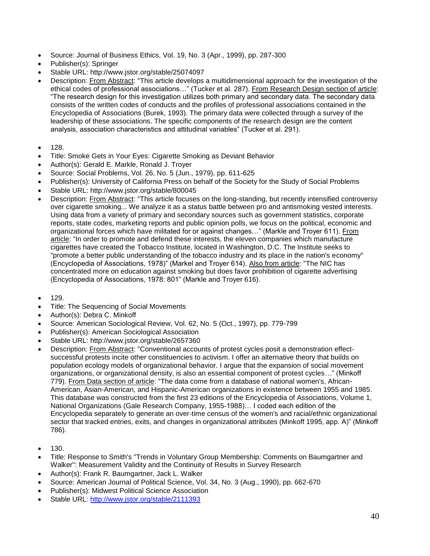- Source: Journal of Business Ethics, Vol. 19, No. 3 (Apr., 1999), pp. 287-300
- Publisher(s): Springer
- Stable URL: http://www.jstor.org/stable/25074097
- Description: From Abstract: "This article develops a multidimensional approach for the investigation of the ethical codes of professional associations…" (Tucker et al. 287). From Research Design section of article: "The research design for this investigation utilizes both primary and secondary data. The secondary data consists of the written codes of conducts and the profiles of professional associations contained in the Encyclopedia of Associations (Burek, 1993). The primary data were collected through a survey of the leadership of these associations. The specific components of the research design are the content analysis, association characteristics and attitudinal variables" (Tucker et al. 291).
- 128.
- Title: Smoke Gets in Your Eyes: Cigarette Smoking as Deviant Behavior
- Author(s): Gerald E. Markle, Ronald J. Troyer
- Source: Social Problems, Vol. 26, No. 5 (Jun., 1979), pp. 611-625
- Publisher(s): University of California Press on behalf of the Society for the Study of Social Problems
- Stable URL: http://www.jstor.org/stable/800045
- Description: From Abstract: "This article focuses on the long-standing, but recently intensified controversy over cigarette smoking... We analyze it as a status battle between pro and antismoking vested interests. Using data from a variety of primary and secondary sources such as government statistics, corporate reports, state codes, marketing reports and public opinion polls, we focus on the political, economic and organizational forces which have militated for or against changes…" (Markle and Troyer 611). From article: "In order to promote and defend these interests, the eleven companies which manufacture cigarettes have created the Tobacco Institute, located in Washington, D.C. The Institute seeks to "promote a better public understanding of the tobacco industry and its place in the nation's economy" (Encyclopedia of Associations, 1978)" (Markel and Troyer 614). Also from article: "The NIC has concentrated more on education against smoking but does favor prohibition of cigarette advertising (Encyclopedia of Associations, 1978: 801" (Markle and Troyer 616).
- $129.$
- Title: The Sequencing of Social Movements
- Author(s): Debra C. Minkoff
- Source: American Sociological Review, Vol. 62, No. 5 (Oct., 1997), pp. 779-799
- Publisher(s): American Sociological Association
- Stable URL: http://www.jstor.org/stable/2657360
- Description: From Abstract: "Conventional accounts of protest cycles posit a demonstration effectsuccessful protests incite other constituencies to activism. I offer an alternative theory that builds on population ecology models of organizational behavior. I argue that the expansion of social movement organizations, or organizational density, is also an essential component of protest cycles…" (Minkoff 779). From Data section of article: "The data come from a database of national women's, African-American, Asian-American, and Hispanic-American organizations in existence between 1955 and 1985. This database was constructed from the first 23 editions of the Encyclopedia of Associations, Volume 1, National Organizations (Gale Research Company, 1955-1988)… I coded each edition of the Encyclopedia separately to generate an over-time census of the women's and racial/ethnic organizational sector that tracked entries, exits, and changes in organizational attributes (Minkoff 1995, app. A)" (Minkoff 786).
- 130.
- Title: Response to Smith's "Trends in Voluntary Group Membership: Comments on Baumgartner and Walker": Measurement Validity and the Continuity of Results in Survey Research
- Author(s): Frank R. Baumgartner, Jack L. Walker
- Source: American Journal of Political Science, Vol. 34, No. 3 (Aug., 1990), pp. 662-670
- Publisher(s): Midwest Political Science Association
- Stable URL:<http://www.jstor.org/stable/2111393>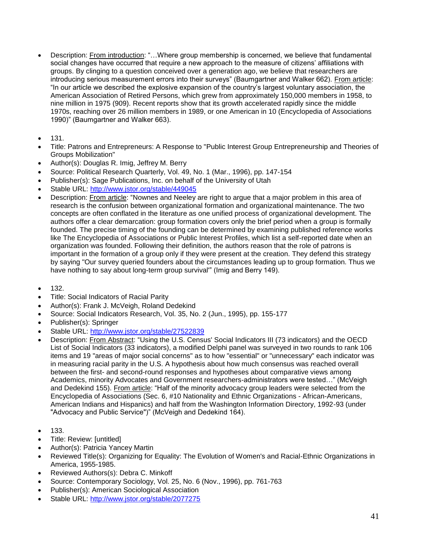- Description: From introduction: "…Where group membership is concerned, we believe that fundamental social changes have occurred that require a new approach to the measure of citizens' affiliations with groups. By clinging to a question conceived over a generation ago, we believe that researchers are introducing serious measurement errors into their surveys" (Baumgartner and Walker 662). From article: "In our article we described the explosive expansion of the country's largest voluntary association, the American Association of Retired Persons, which grew from approximately 150,000 members in 1958, to nine million in 1975 (909). Recent reports show that its growth accelerated rapidly since the middle 1970s, reaching over 26 million members in 1989, or one American in 10 (Encyclopedia of Associations 1990)" (Baumgartner and Walker 663).
- $131.$
- Title: Patrons and Entrepreneurs: A Response to "Public Interest Group Entrepreneurship and Theories of Groups Mobilization"
- Author(s): Douglas R. Imig, Jeffrey M. Berry
- Source: Political Research Quarterly, Vol. 49, No. 1 (Mar., 1996), pp. 147-154
- Publisher(s): Sage Publications, Inc. on behalf of the University of Utah
- Stable URL:<http://www.jstor.org/stable/449045>
- Description: From article: "Nownes and Neeley are right to argue that a major problem in this area of research is the confusion between organizational formation and organizational maintenance. The two concepts are often conflated in the literature as one unified process of organizational development. The authors offer a clear demarcation: group formation covers only the brief period when a group is formally founded. The precise timing of the founding can be determined by examining published reference works like The Encyclopedia of Associations or Public Interest Profiles, which list a self-reported date when an organization was founded. Following their definition, the authors reason that the role of patrons is important in the formation of a group only if they were present at the creation. They defend this strategy by saying "Our survey queried founders about the circumstances leading up to group formation. Thus we have nothing to say about long-term group survival'" (Imig and Berry 149).
- 132.
- Title: Social Indicators of Racial Parity
- Author(s): Frank J. McVeigh, Roland Dedekind
- Source: Social Indicators Research, Vol. 35, No. 2 (Jun., 1995), pp. 155-177
- Publisher(s): Springer
- Stable URL:<http://www.jstor.org/stable/27522839>
- Description: From Abstract: "Using the U.S. Census' Social Indicators III (73 indicators) and the OECD List of Social Indicators (33 indicators), a modified Delphi panel was surveyed in two rounds to rank 106 items and 19 "areas of major social concerns" as to how "essential" or "unnecessary" each indicator was in measuring racial parity in the U.S. A hypothesis about how much consensus was reached overall between the first- and second-round responses and hypotheses about comparative views among Academics, minority Advocates and Government researchers-administrators were tested…" (McVeigh and Dedekind 155). From article: "Half of the minority advocacy group leaders were selected from the Encyclopedia of Associations (Sec. 6, #10 Nationality and Ethnic Organizations - African-Americans, American Indians and Hispanics) and half from the Washington Information Directory, 1992-93 (under "Advocacy and Public Service")" (McVeigh and Dedekind 164).
- $133.$
- Title: Review: [untitled]
- Author(s): Patricia Yancey Martin
- Reviewed Title(s): Organizing for Equality: The Evolution of Women's and Racial-Ethnic Organizations in America, 1955-1985.
- Reviewed Authors(s): Debra C. Minkoff
- Source: Contemporary Sociology, Vol. 25, No. 6 (Nov., 1996), pp. 761-763
- Publisher(s): American Sociological Association
- Stable URL:<http://www.jstor.org/stable/2077275>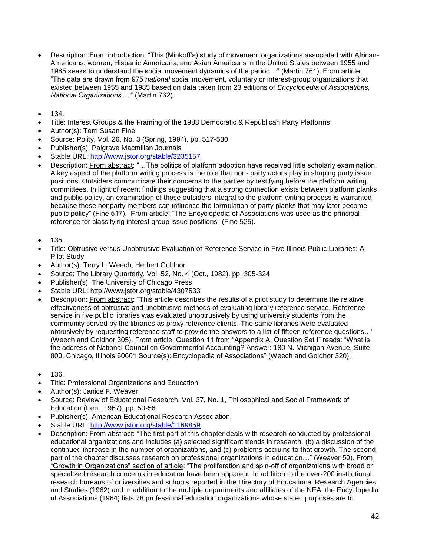- Description: From introduction: "This (Minkoff's) study of movement organizations associated with African-Americans, women, Hispanic Americans, and Asian Americans in the United States between 1955 and 1985 seeks to understand the social movement dynamics of the period…" (Martin 761). From article: "The data are drawn from 975 *national* social movement, voluntary or interest-group organizations that existed between 1955 and 1985 based on data taken from 23 editions of *Encyclopedia of Associations, National Organizations…* " (Martin 762).
- $134.$
- Title: Interest Groups & the Framing of the 1988 Democratic & Republican Party Platforms
- Author(s): Terri Susan Fine
- Source: Polity, Vol. 26, No. 3 (Spring, 1994), pp. 517-530
- Publisher(s): Palgrave Macmillan Journals
- Stable URL:<http://www.jstor.org/stable/3235157>
- Description: From abstract: "…The politics of platform adoption have received little scholarly examination. A key aspect of the platform writing process is the role that non- party actors play in shaping party issue positions. Outsiders communicate their concerns to the parties by testifying before the platform writing committees. In light of recent findings suggesting that a strong connection exists between platform planks and public policy, an examination of those outsiders integral to the platform writing process is warranted because these nonparty members can influence the formulation of party planks that may later become public policy" (Fine 517). From article: "The Encyclopedia of Associations was used as the principal reference for classifying interest group issue positions" (Fine 525).
- 135.
- Title: Obtrusive versus Unobtrusive Evaluation of Reference Service in Five Illinois Public Libraries: A Pilot Study
- Author(s): Terry L. Weech, Herbert Goldhor
- Source: The Library Quarterly, Vol. 52, No. 4 (Oct., 1982), pp. 305-324
- Publisher(s): The University of Chicago Press
- Stable URL: http://www.jstor.org/stable/4307533
- Description: From abstract: "This article describes the results of a pilot study to determine the relative effectiveness of obtrusive and unobtrusive methods of evaluating library reference service. Reference service in five public libraries was evaluated unobtrusively by using university students from the community served by the libraries as proxy reference clients. The same libraries were evaluated obtrusively by requesting reference staff to provide the answers to a list of fifteen reference questions…" (Weech and Goldhor 305). From article: Question 11 from "Appendix A, Question Set I" reads: "What is the address of National Council on Governmental Accounting? Answer: 180 N. Michigan Avenue, Suite 800, Chicago, Illinois 60601 Source(s): Encyclopedia of Associations" (Weech and Goldhor 320).
- 136.
- Title: Professional Organizations and Education
- Author(s): Janice F. Weaver
- Source: Review of Educational Research, Vol. 37, No. 1, Philosophical and Social Framework of Education (Feb., 1967), pp. 50-56
- Publisher(s): American Educational Research Association
- Stable URL:<http://www.jstor.org/stable/1169859>
- Description: From abstract: "The first part of this chapter deals with research conducted by professional educational organizations and includes (a) selected significant trends in research, (b) a discussion of the continued increase in the number of organizations, and (c) problems accruing to that growth. The second part of the chapter discusses research on professional organizations in education…" (Weaver 50). From "Growth in Organizations" section of article: "The proliferation and spin-off of organizations with broad or specialized research concerns in education have been apparent. In addition to the over-200 institutional research bureaus of universities and schools reported in the Directory of Educational Research Agencies and Studies (1962) and in addition to the multiple departments and affiliates of the NEA, the Encyclopedia of Associations (1964) lists 78 professional education organizations whose stated purposes are to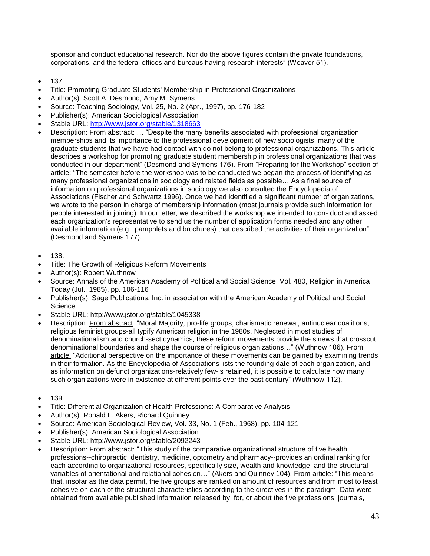sponsor and conduct educational research. Nor do the above figures contain the private foundations, corporations, and the federal offices and bureaus having research interests" (Weaver 51).

- 137.
- Title: Promoting Graduate Students' Membership in Professional Organizations
- Author(s): Scott A. Desmond, Amy M. Symens
- Source: Teaching Sociology, Vol. 25, No. 2 (Apr., 1997), pp. 176-182
- Publisher(s): American Sociological Association
- Stable URL:<http://www.jstor.org/stable/1318663>
- Description: From abstract: … "Despite the many benefits associated with professional organization memberships and its importance to the professional development of new sociologists, many of the graduate students that we have had contact with do not belong to professional organizations. This article describes a workshop for promoting graduate student membership in professional organizations that was conducted in our department" (Desmond and Symens 176). From "Preparing for the Workshop" section of article: "The semester before the workshop was to be conducted we began the process of identifying as many professional organizations in sociology and related fields as possible… As a final source of information on professional organizations in sociology we also consulted the Encyclopedia of Associations (Fischer and Schwartz 1996). Once we had identified a significant number of organizations, we wrote to the person in charge of membership information (most journals provide such information for people interested in joining). In our letter, we described the workshop we intended to con- duct and asked each organization's representative to send us the number of application forms needed and any other available information (e.g., pamphlets and brochures) that described the activities of their organization" (Desmond and Symens 177).
- 138.
- Title: The Growth of Religious Reform Movements
- Author(s): Robert Wuthnow
- Source: Annals of the American Academy of Political and Social Science, Vol. 480, Religion in America Today (Jul., 1985), pp. 106-116
- Publisher(s): Sage Publications, Inc. in association with the American Academy of Political and Social **Science**
- Stable URL: http://www.jstor.org/stable/1045338
- Description: From abstract: "Moral Majority, pro-life groups, charismatic renewal, antinuclear coalitions, religious feminist groups-all typify American religion in the 1980s. Neglected in most studies of denominationalism and church-sect dynamics, these reform movements provide the sinews that crosscut denominational boundaries and shape the course of religious organizations…" (Wuthnow 106). From article: "Additional perspective on the importance of these movements can be gained by examining trends in their formation. As the Encyclopedia of Associations lists the founding date of each organization, and as information on defunct organizations-relatively few-is retained, it is possible to calculate how many such organizations were in existence at different points over the past century" (Wuthnow 112).
- 139.
- Title: Differential Organization of Health Professions: A Comparative Analysis
- Author(s): Ronald L. Akers, Richard Quinney
- Source: American Sociological Review, Vol. 33, No. 1 (Feb., 1968), pp. 104-121
- Publisher(s): American Sociological Association
- Stable URL: http://www.jstor.org/stable/2092243
- Description: From abstract: "This study of the comparative organizational structure of five health professions--chiropractic, dentistry, medicine, optometry and pharmacy--provides an ordinal ranking for each according to organizational resources, specifically size, wealth and knowledge, and the structural variables of orientational and relational cohesion..." (Akers and Quinney 104). From article: "This means that, insofar as the data permit, the five groups are ranked on amount of resources and from most to least cohesive on each of the structural characteristics according to the directives in the paradigm. Data were obtained from available published information released by, for, or about the five professions: journals,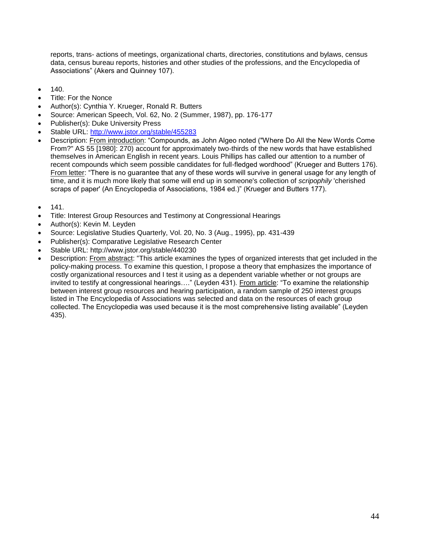reports, trans- actions of meetings, organizational charts, directories, constitutions and bylaws, census data, census bureau reports, histories and other studies of the professions, and the Encyclopedia of Associations" (Akers and Quinney 107).

- 140.
- Title: For the Nonce
- Author(s): Cynthia Y. Krueger, Ronald R. Butters
- Source: American Speech, Vol. 62, No. 2 (Summer, 1987), pp. 176-177
- Publisher(s): Duke University Press
- Stable URL:<http://www.jstor.org/stable/455283>
- Description: From introduction: "Compounds, as John Algeo noted ("Where Do All the New Words Come From?" AS 55 [1980]: 270) account for approximately two-thirds of the new words that have established themselves in American English in recent years. Louis Phillips has called our attention to a number of recent compounds which seem possible candidates for full-fledged wordhood" (Krueger and Butters 176). From letter: "There is no guarantee that any of these words will survive in general usage for any length of time, and it is much more likely that some will end up in someone's collection of *scripophily* 'cherished scraps of paper' (An Encyclopedia of Associations, 1984 ed.)" (Krueger and Butters 177).
- 141.
- Title: Interest Group Resources and Testimony at Congressional Hearings
- Author(s): Kevin M. Leyden
- Source: Legislative Studies Quarterly, Vol. 20, No. 3 (Aug., 1995), pp. 431-439
- Publisher(s): Comparative Legislative Research Center
- Stable URL: http://www.jstor.org/stable/440230
- Description: From abstract: "This article examines the types of organized interests that get included in the policy-making process. To examine this question, I propose a theory that emphasizes the importance of costly organizational resources and I test it using as a dependent variable whether or not groups are invited to testify at congressional hearings…." (Leyden 431). From article: "To examine the relationship between interest group resources and hearing participation, a random sample of 250 interest groups listed in The Encyclopedia of Associations was selected and data on the resources of each group collected. The Encyclopedia was used because it is the most comprehensive listing available" (Leyden 435).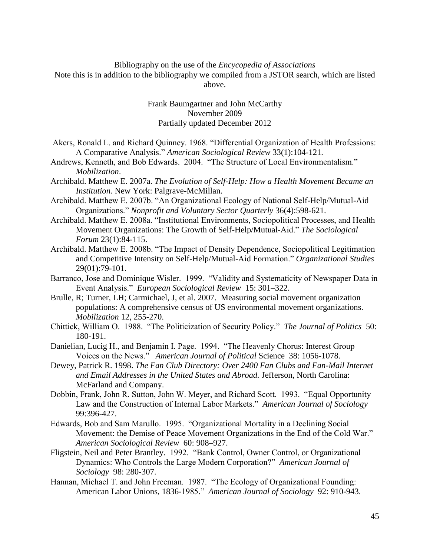Bibliography on the use of the *Encycopedia of Associations* Note this is in addition to the bibliography we compiled from a JSTOR search, which are listed above.

> Frank Baumgartner and John McCarthy November 2009 Partially updated December 2012

- Akers, Ronald L. and Richard Quinney. 1968. "Differential Organization of Health Professions: A Comparative Analysis." *American Sociological Review* 33(1):104-121.
- Andrews, Kenneth, and Bob Edwards. 2004. "The Structure of Local Environmentalism." *Mobilization*.
- Archibald. Matthew E. 2007a. *The Evolution of Self-Help: How a Health Movement Became an Institution.* New York: Palgrave-McMillan.
- Archibald. Matthew E. 2007b. "An Organizational Ecology of National Self-Help/Mutual-Aid Organizations." *Nonprofit and Voluntary Sector Quarterly* 36(4):598-621.
- Archibald. Matthew E. 2008a. "Institutional Environments, Sociopolitical Processes, and Health Movement Organizations: The Growth of Self-Help/Mutual-Aid." *The Sociological Forum* 23(1):84-115.
- Archibald. Matthew E. 2008b. "The Impact of Density Dependence, Sociopolitical Legitimation and Competitive Intensity on Self-Help/Mutual-Aid Formation." *Organizational Studies* 29(01):79-101.
- Barranco, Jose and Dominique Wisler. 1999. "Validity and Systematicity of Newspaper Data in Event Analysis." *European Sociological Review* 15: 301–322.
- Brulle, R; Turner, LH; Carmichael, J, et al. 2007. Measuring social movement organization populations: A comprehensive census of US environmental movement organizations. *Mobilization* 12, 255-270.
- Chittick, William O. 1988. "The Politicization of Security Policy." *The Journal of Politics* 50: 180-191.
- Danielian, Lucig H., and Benjamin I. Page. 1994. "The Heavenly Chorus: Interest Group Voices on the News." *American Journal of Political* Science 38: 1056-1078.
- Dewey, Patrick R. 1998. *The Fan Club Directory: Over 2400 Fan Clubs and Fan-Mail Internet and Email Addresses in the United States and Abroad.* Jefferson, North Carolina: McFarland and Company.
- Dobbin, Frank, John R. Sutton, John W. Meyer, and Richard Scott. 1993. "Equal Opportunity Law and the Construction of Internal Labor Markets." *American Journal of Sociology* 99:396-427.
- Edwards, Bob and Sam Marullo. 1995. "Organizational Mortality in a Declining Social Movement: the Demise of Peace Movement Organizations in the End of the Cold War." *American Sociological Review* 60: 908–927.
- Fligstein, Neil and Peter Brantley. 1992. "Bank Control, Owner Control, or Organizational Dynamics: Who Controls the Large Modern Corporation?" *American Journal of Sociology* 98: 280-307.
- Hannan, Michael T. and John Freeman. 1987. "The Ecology of Organizational Founding: American Labor Unions, 1836-1985." *American Journal of Sociology* 92: 910-943.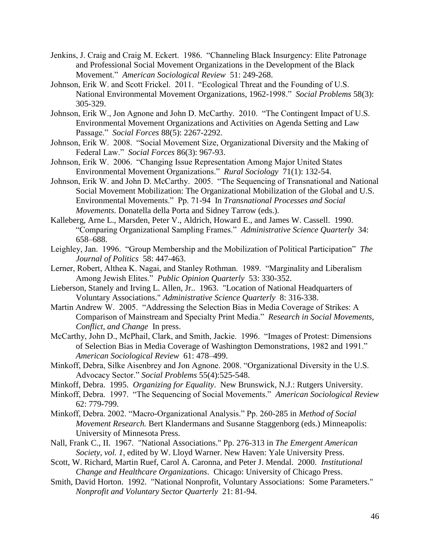- Jenkins, J. Craig and Craig M. Eckert. 1986. "Channeling Black Insurgency: Elite Patronage and Professional Social Movement Organizations in the Development of the Black Movement." *American Sociological Review* 51: 249-268.
- Johnson, Erik W. and Scott Frickel. 2011. "Ecological Threat and the Founding of U.S. National Environmental Movement Organizations, 1962-1998." *Social Problems* 58(3): 305-329.
- Johnson, Erik W., Jon Agnone and John D. McCarthy. 2010. "The Contingent Impact of U.S. Environmental Movement Organizations and Activities on Agenda Setting and Law Passage." *Social Forces* 88(5): 2267-2292.
- Johnson, Erik W. 2008. "Social Movement Size, Organizational Diversity and the Making of Federal Law." *Social Forces* 86(3): 967-93.
- Johnson, Erik W. 2006. "Changing Issue Representation Among Major United States Environmental Movement Organizations." *Rural Sociology* 71(1): 132-54.
- Johnson, Erik W. and John D. McCarthy. 2005. "The Sequencing of Transnational and National Social Movement Mobilization: The Organizational Mobilization of the Global and U.S. Environmental Movements." Pp. 71-94 In *Transnational Processes and Social Movements*. Donatella della Porta and Sidney Tarrow (eds.).
- Kalleberg, Arne L., Marsden, Peter V., Aldrich, Howard E., and James W. Cassell. 1990. "Comparing Organizational Sampling Frames." *Administrative Science Quarterly* 34: 658–688.
- Leighley, Jan. 1996. "Group Membership and the Mobilization of Political Participation" *The Journal of Politics* 58: 447-463.
- Lerner, Robert, Althea K. Nagai, and Stanley Rothman. 1989. "Marginality and Liberalism Among Jewish Elites." *Public Opinion Quarterly* 53: 330-352.
- Lieberson, Stanely and Irving L. Allen, Jr.. 1963. "Location of National Headquarters of Voluntary Associations." *Administrative Science Quarterly* 8: 316-338.
- Martin Andrew W. 2005. "Addressing the Selection Bias in Media Coverage of Strikes: A Comparison of Mainstream and Specialty Print Media." *Research in Social Movements, Conflict, and Change* In press.
- McCarthy, John D., McPhail, Clark, and Smith, Jackie. 1996. "Images of Protest: Dimensions of Selection Bias in Media Coverage of Washington Demonstrations, 1982 and 1991." *American Sociological Review* 61: 478–499.
- Minkoff, Debra, Silke Aisenbrey and Jon Agnone. 2008. "Organizational Diversity in the U.S. Advocacy Sector." *Social Problems* 55(4):525-548.
- Minkoff, Debra. 1995. *Organizing for Equality*. New Brunswick, N.J.: Rutgers University.
- Minkoff, Debra. 1997. "The Sequencing of Social Movements." *American Sociological Review* 62: 779-799.
- Minkoff, Debra. 2002. "Macro-Organizational Analysis." Pp. 260-285 in *Method of Social Movement Research.* Bert Klandermans and Susanne Staggenborg (eds.) Minneapolis: University of Minnesota Press.
- Nall, Frank C., II. 1967. "National Associations." Pp. 276-313 in *The Emergent American Society, vol. 1*, edited by W. Lloyd Warner. New Haven: Yale University Press.
- Scott, W. Richard, Martin Ruef, Carol A. Caronna, and Peter J. Mendal. 2000. *Institutional Change and Healthcare Organizations*. Chicago: University of Chicago Press.
- Smith, David Horton. 1992. "National Nonprofit, Voluntary Associations: Some Parameters." *Nonprofit and Voluntary Sector Quarterly* 21: 81-94.